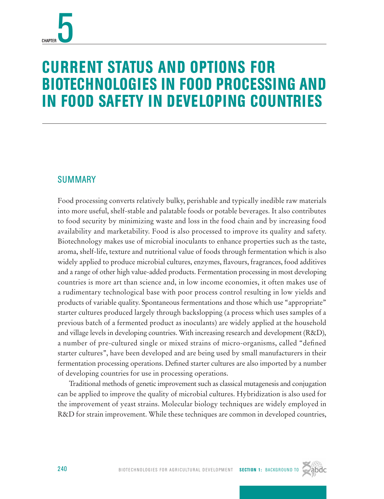# Current Status and Options for Biotechnologies in Food Processing and in Food Safety in Developing Countries

# **SUMMARY**

Food processing converts relatively bulky, perishable and typically inedible raw materials into more useful, shelf-stable and palatable foods or potable beverages. It also contributes to food security by minimizing waste and loss in the food chain and by increasing food availability and marketability. Food is also processed to improve its quality and safety. Biotechnology makes use of microbial inoculants to enhance properties such as the taste, aroma, shelf-life, texture and nutritional value of foods through fermentation which is also widely applied to produce microbial cultures, enzymes, flavours, fragrances, food additives and a range of other high value-added products. Fermentation processing in most developing countries is more art than science and, in low income economies, it often makes use of a rudimentary technological base with poor process control resulting in low yields and products of variable quality. Spontaneous fermentations and those which use "appropriate" starter cultures produced largely through backslopping (a process which uses samples of a previous batch of a fermented product as inoculants) are widely applied at the household and village levels in developing countries. With increasing research and development (R&D), a number of pre-cultured single or mixed strains of micro-organisms, called "defined starter cultures", have been developed and are being used by small manufacturers in their fermentation processing operations. Defined starter cultures are also imported by a number of developing countries for use in processing operations.

Traditional methods of genetic improvement such as classical mutagenesis and conjugation can be applied to improve the quality of microbial cultures. Hybridization is also used for the improvement of yeast strains. Molecular biology techniques are widely employed in R&D for strain improvement. While these techniques are common in developed countries,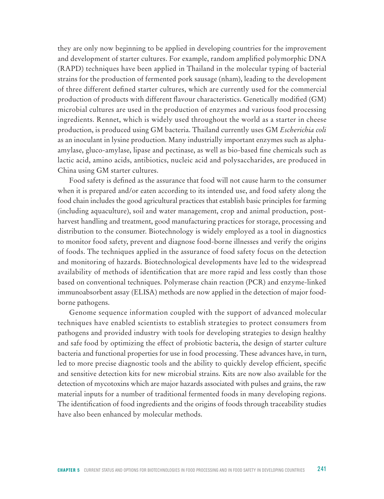they are only now beginning to be applied in developing countries for the improvement and development of starter cultures. For example, random amplified polymorphic DNA (RAPD) techniques have been applied in Thailand in the molecular typing of bacterial strains for the production of fermented pork sausage (nham), leading to the development of three different defined starter cultures, which are currently used for the commercial production of products with different flavour characteristics. Genetically modified (GM) microbial cultures are used in the production of enzymes and various food processing ingredients. Rennet, which is widely used throughout the world as a starter in cheese production, is produced using GM bacteria. Thailand currently uses GM *Escherichia coli* as an inoculant in lysine production. Many industrially important enzymes such as alphaamylase, gluco-amylase, lipase and pectinase, as well as bio-based fine chemicals such as lactic acid, amino acids, antibiotics, nucleic acid and polysaccharides, are produced in China using GM starter cultures.

Food safety is defined as the assurance that food will not cause harm to the consumer when it is prepared and/or eaten according to its intended use, and food safety along the food chain includes the good agricultural practices that establish basic principles for farming (including aquaculture), soil and water management, crop and animal production, postharvest handling and treatment, good manufacturing practices for storage, processing and distribution to the consumer. Biotechnology is widely employed as a tool in diagnostics to monitor food safety, prevent and diagnose food-borne illnesses and verify the origins of foods. The techniques applied in the assurance of food safety focus on the detection and monitoring of hazards. Biotechnological developments have led to the widespread availability of methods of identification that are more rapid and less costly than those based on conventional techniques. Polymerase chain reaction (PCR) and enzyme-linked immunoabsorbent assay (ELISA) methods are now applied in the detection of major foodborne pathogens.

Genome sequence information coupled with the support of advanced molecular techniques have enabled scientists to establish strategies to protect consumers from pathogens and provided industry with tools for developing strategies to design healthy and safe food by optimizing the effect of probiotic bacteria, the design of starter culture bacteria and functional properties for use in food processing. These advances have, in turn, led to more precise diagnostic tools and the ability to quickly develop efficient, specific and sensitive detection kits for new microbial strains. Kits are now also available for the detection of mycotoxins which are major hazards associated with pulses and grains, the raw material inputs for a number of traditional fermented foods in many developing regions. The identification of food ingredients and the origins of foods through traceability studies have also been enhanced by molecular methods.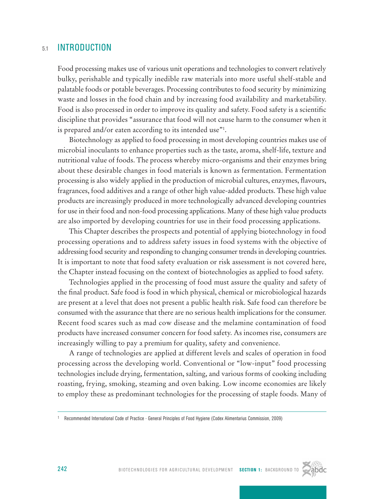# 51 **INTRODUCTION**

Food processing makes use of various unit operations and technologies to convert relatively bulky, perishable and typically inedible raw materials into more useful shelf-stable and palatable foods or potable beverages. Processing contributes to food security by minimizing waste and losses in the food chain and by increasing food availability and marketability. Food is also processed in order to improve its quality and safety. Food safety is a scientific discipline that provides "assurance that food will not cause harm to the consumer when it is prepared and/or eaten according to its intended use"1 .

Biotechnology as applied to food processing in most developing countries makes use of microbial inoculants to enhance properties such as the taste, aroma, shelf-life, texture and nutritional value of foods. The process whereby micro-organisms and their enzymes bring about these desirable changes in food materials is known as fermentation. Fermentation processing is also widely applied in the production of microbial cultures, enzymes, flavours, fragrances, food additives and a range of other high value-added products. These high value products are increasingly produced in more technologically advanced developing countries for use in their food and non-food processing applications. Many of these high value products are also imported by developing countries for use in their food processing applications.

This Chapter describes the prospects and potential of applying biotechnology in food processing operations and to address safety issues in food systems with the objective of addressing food security and responding to changing consumer trends in developing countries. It is important to note that food safety evaluation or risk assessment is not covered here, the Chapter instead focusing on the context of biotechnologies as applied to food safety.

Technologies applied in the processing of food must assure the quality and safety of the final product. Safe food is food in which physical, chemical or microbiological hazards are present at a level that does not present a public health risk. Safe food can therefore be consumed with the assurance that there are no serious health implications for the consumer. Recent food scares such as mad cow disease and the melamine contamination of food products have increased consumer concern for food safety. As incomes rise, consumers are increasingly willing to pay a premium for quality, safety and convenience.

A range of technologies are applied at different levels and scales of operation in food processing across the developing world. Conventional or "low-input" food processing technologies include drying, fermentation, salting, and various forms of cooking including roasting, frying, smoking, steaming and oven baking. Low income economies are likely to employ these as predominant technologies for the processing of staple foods. Many of



<sup>1</sup> Recommended International Code of Practice - General Principles of Food Hygiene (Codex Alimentarius Commission, 2009)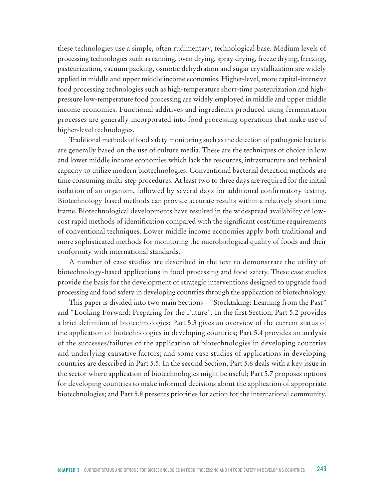these technologies use a simple, often rudimentary, technological base. Medium levels of processing technologies such as canning, oven drying, spray drying, freeze drying, freezing, pasteurization, vacuum packing, osmotic dehydration and sugar crystallization are widely applied in middle and upper middle income economies. Higher-level, more capital-intensive food processing technologies such as high-temperature short-time pasteurization and highpressure low-temperature food processing are widely employed in middle and upper middle income economies. Functional additives and ingredients produced using fermentation processes are generally incorporated into food processing operations that make use of higher-level technologies.

Traditional methods of food safety monitoring such as the detection of pathogenic bacteria are generally based on the use of culture media. These are the techniques of choice in low and lower middle income economies which lack the resources, infrastructure and technical capacity to utilize modern biotechnologies. Conventional bacterial detection methods are time consuming multi-step procedures. At least two to three days are required for the initial isolation of an organism, followed by several days for additional confirmatory testing. Biotechnology based methods can provide accurate results within a relatively short time frame. Biotechnological developments have resulted in the widespread availability of lowcost rapid methods of identification compared with the significant cost/time requirements of conventional techniques. Lower middle income economies apply both traditional and more sophisticated methods for monitoring the microbiological quality of foods and their conformity with international standards.

A number of case studies are described in the text to demonstrate the utility of biotechnology-based applications in food processing and food safety. These case studies provide the basis for the development of strategic interventions designed to upgrade food processing and food safety in developing countries through the application of biotechnology.

This paper is divided into two main Sections – "Stocktaking: Learning from the Past" and "Looking Forward: Preparing for the Future". In the first Section, Part 5.2 provides a brief definition of biotechnologies; Part 5.3 gives an overview of the current status of the application of biotechnologies in developing countries; Part 5.4 provides an analysis of the successes/failures of the application of biotechnologies in developing countries and underlying causative factors; and some case studies of applications in developing countries are described in Part 5.5. In the second Section, Part 5.6 deals with a key issue in the sector where application of biotechnologies might be useful; Part 5.7 proposes options for developing countries to make informed decisions about the application of appropriate biotechnologies; and Part 5.8 presents priorities for action for the international community.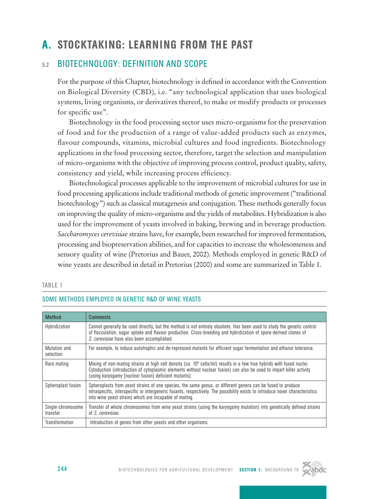# A. Stocktaking: Learning from the Past

# 5.2 Biotechnology: Definition and Scope

For the purpose of this Chapter, biotechnology is defined in accordance with the Convention on Biological Diversity (CBD), i.e. "any technological application that uses biological systems, living organisms, or derivatives thereof, to make or modify products or processes for specific use".

Biotechnology in the food processing sector uses micro-organisms for the preservation of food and for the production of a range of value-added products such as enzymes, flavour compounds, vitamins, microbial cultures and food ingredients. Biotechnology applications in the food processing sector, therefore, target the selection and manipulation of micro-organisms with the objective of improving process control, product quality, safety, consistency and yield, while increasing process efficiency.

Biotechnological processes applicable to the improvement of microbial cultures for use in food processing applications include traditional methods of genetic improvement ("traditional biotechnology") such as classical mutagenesis and conjugation. These methods generally focus on improving the quality of micro-organisms and the yields of metabolites. Hybridization is also used for the improvement of yeasts involved in baking, brewing and in beverage production. *Saccharomyces cerevisiae* strains have, for example, been researched for improved fermentation, processing and biopreservation abilities, and for capacities to increase the wholesomeness and sensory quality of wine (Pretorius and Bauer, 2002). Methods employed in genetic R&D of wine yeasts are described in detail in Pretorius (2000) and some are summarized in Table 1.

#### TABLE 1

| <b>Method</b>                 | <b>Comments</b>                                                                                                                                                                                                                                                                                           |
|-------------------------------|-----------------------------------------------------------------------------------------------------------------------------------------------------------------------------------------------------------------------------------------------------------------------------------------------------------|
| Hybridization                 | Cannot generally be used directly, but the method is not entirely obsolete. Has been used to study the genetic control<br>of flocculation, sugar uptake and flavour production. Cross-breeding and hybridization of spore-derived clones of<br>S. cerevisiae have also been accomplished.                 |
| Mutation and<br>selection     | For example, to induce autotrophic and de-repressed mutants for efficient sugar fermentation and ethanol tolerance.                                                                                                                                                                                       |
| Rare mating                   | Mixing of non-mating strains at high cell density (ca. $10^8$ cells/ml) results in a few true hybrids with fused nuclei.<br>Cytoduction (introduction of cytoplasmic elements without nuclear fusion) can also be used to impart killer activity<br>(using karyogamy [nuclear fusion] deficient mutants). |
| Spheroplast fusion            | Spheroplasts from yeast strains of one species, the same genus, or different genera can be fused to produce<br>intraspecific, interspecific or intergeneric fusants, respectively. The possibility exists to introduce novel characteristics<br>into wine yeast strains which are incapable of mating.    |
| Single-chromosome<br>transfer | Transfer of whole chromosomes from wine yeast strains (using the karyogamy mutation) into genetically defined strains<br>of <i>S. cerevisiae</i> .                                                                                                                                                        |
| Transformation                | Introduction of genes from other yeasts and other organisms.                                                                                                                                                                                                                                              |

#### Some methods employed in genetic R&D of wine yeasts

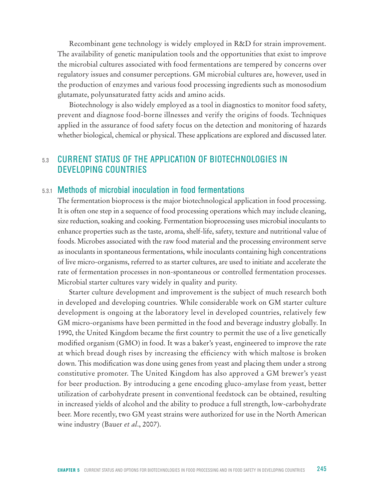Recombinant gene technology is widely employed in R&D for strain improvement. The availability of genetic manipulation tools and the opportunities that exist to improve the microbial cultures associated with food fermentations are tempered by concerns over regulatory issues and consumer perceptions. GM microbial cultures are, however, used in the production of enzymes and various food processing ingredients such as monosodium glutamate, polyunsaturated fatty acids and amino acids.

Biotechnology is also widely employed as a tool in diagnostics to monitor food safety, prevent and diagnose food-borne illnesses and verify the origins of foods. Techniques applied in the assurance of food safety focus on the detection and monitoring of hazards whether biological, chemical or physical. These applications are explored and discussed later.

# 5.3 Current Status of the Application of Biotechnologies in Developing Countries

# 5.3.1 Methods of microbial inoculation in food fermentations

The fermentation bioprocess is the major biotechnological application in food processing. It is often one step in a sequence of food processing operations which may include cleaning, size reduction, soaking and cooking. Fermentation bioprocessing uses microbial inoculants to enhance properties such as the taste, aroma, shelf-life, safety, texture and nutritional value of foods. Microbes associated with the raw food material and the processing environment serve as inoculants in spontaneous fermentations, while inoculants containing high concentrations of live micro-organisms, referred to as starter cultures, are used to initiate and accelerate the rate of fermentation processes in non-spontaneous or controlled fermentation processes. Microbial starter cultures vary widely in quality and purity.

Starter culture development and improvement is the subject of much research both in developed and developing countries. While considerable work on GM starter culture development is ongoing at the laboratory level in developed countries, relatively few GM micro-organisms have been permitted in the food and beverage industry globally. In 1990, the United Kingdom became the first country to permit the use of a live genetically modified organism (GMO) in food. It was a baker's yeast, engineered to improve the rate at which bread dough rises by increasing the efficiency with which maltose is broken down. This modification was done using genes from yeast and placing them under a strong constitutive promoter. The United Kingdom has also approved a GM brewer's yeast for beer production. By introducing a gene encoding gluco-amylase from yeast, better utilization of carbohydrate present in conventional feedstock can be obtained, resulting in increased yields of alcohol and the ability to produce a full strength, low-carbohydrate beer. More recently, two GM yeast strains were authorized for use in the North American wine industry (Bauer *et al*., 2007).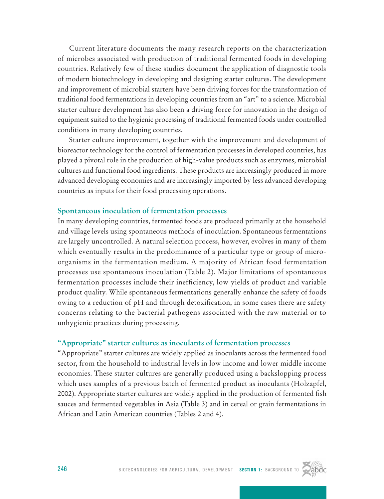Current literature documents the many research reports on the characterization of microbes associated with production of traditional fermented foods in developing countries. Relatively few of these studies document the application of diagnostic tools of modern biotechnology in developing and designing starter cultures. The development and improvement of microbial starters have been driving forces for the transformation of traditional food fermentations in developing countries from an "art" to a science. Microbial starter culture development has also been a driving force for innovation in the design of equipment suited to the hygienic processing of traditional fermented foods under controlled conditions in many developing countries.

Starter culture improvement, together with the improvement and development of bioreactor technology for the control of fermentation processes in developed countries, has played a pivotal role in the production of high-value products such as enzymes, microbial cultures and functional food ingredients. These products are increasingly produced in more advanced developing economies and are increasingly imported by less advanced developing countries as inputs for their food processing operations.

#### **Spontaneous inoculation of fermentation processes**

In many developing countries, fermented foods are produced primarily at the household and village levels using spontaneous methods of inoculation. Spontaneous fermentations are largely uncontrolled. A natural selection process, however, evolves in many of them which eventually results in the predominance of a particular type or group of microorganisms in the fermentation medium. A majority of African food fermentation processes use spontaneous inoculation (Table 2). Major limitations of spontaneous fermentation processes include their inefficiency, low yields of product and variable product quality. While spontaneous fermentations generally enhance the safety of foods owing to a reduction of pH and through detoxification, in some cases there are safety concerns relating to the bacterial pathogens associated with the raw material or to unhygienic practices during processing.

#### **"Appropriate" starter cultures as inoculants of fermentation processes**

"Appropriate" starter cultures are widely applied as inoculants across the fermented food sector, from the household to industrial levels in low income and lower middle income economies. These starter cultures are generally produced using a backslopping process which uses samples of a previous batch of fermented product as inoculants (Holzapfel, 2002). Appropriate starter cultures are widely applied in the production of fermented fish sauces and fermented vegetables in Asia (Table 3) and in cereal or grain fermentations in African and Latin American countries (Tables 2 and 4).

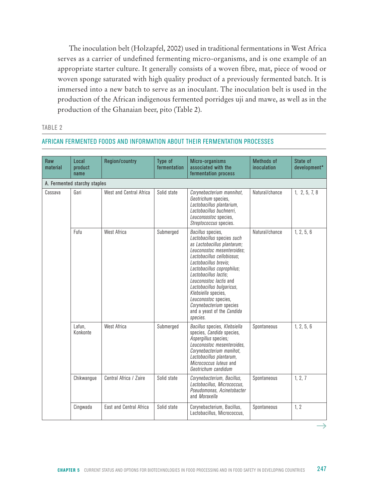The inoculation belt (Holzapfel, 2002) used in traditional fermentations in West Africa serves as a carrier of undefined fermenting micro-organisms, and is one example of an appropriate starter culture. It generally consists of a woven fibre, mat, piece of wood or woven sponge saturated with high quality product of a previously fermented batch. It is immersed into a new batch to serve as an inoculant. The inoculation belt is used in the production of the African indigenous fermented porridges uji and mawe, as well as in the production of the Ghanaian beer, pito (Table 2).

#### TABLE 2

| Raw<br>material | Local<br>product<br>name     | Region/country          | Type of<br>fermentation | Micro-organisms<br>associated with the<br>fermentation process                                                                                                                                                                                                                                                                                                                                        | <b>Methods of</b><br><i>inoculation</i> | State of<br>development* |
|-----------------|------------------------------|-------------------------|-------------------------|-------------------------------------------------------------------------------------------------------------------------------------------------------------------------------------------------------------------------------------------------------------------------------------------------------------------------------------------------------------------------------------------------------|-----------------------------------------|--------------------------|
|                 | A. Fermented starchy staples |                         |                         |                                                                                                                                                                                                                                                                                                                                                                                                       |                                         |                          |
| Cassava         | Gari                         | West and Central Africa | Solid state             | Corynebacterium mannihot,<br>Geotrichum species,<br>Lactobacillus plantarium,<br>Lactobacillus buchnerri.<br>Leuconsostoc species,<br>Streptococcus species.                                                                                                                                                                                                                                          | Natural/chance                          | 1, 2, 5, 7, 8            |
|                 | Fufu                         | West Africa             | Submerged               | Bacillus species,<br>Lactobacillus species such<br>as Lactobacillus plantarum;<br>Leuconostoc mesenteroides;<br>Lactobacillus cellobiosus;<br>Lactobacillus brevis:<br>Lactobacillus coprophilus;<br>Lactobacillus lactis:<br>Leuconostoc lactis and<br>Lactobacillus bulgaricus,<br>Klebsiella species,<br>Leuconostoc species,<br>Corynebacterium species<br>and a yeast of the Candida<br>species. | Natural/chance                          | 1, 2, 5, 6               |
|                 | Lafun,<br>Konkonte           | West Africa             | Submerged               | Bacillus species, Klebsiella<br>species, Candida species,<br>Aspergillus species;<br>Leuconostoc mesenteroides.<br>Corynebacterium manihot,<br>Lactobacillus plantarum,<br>Micrococcus luteus and<br>Geotrichum candidum                                                                                                                                                                              | Spontaneous                             | 1, 2, 5, 6               |
|                 | Chikwangue                   | Central Africa / Zaire  | Solid state             | Corynebacterium, Bacillus,<br>Lactobacillus, Micrococcus,<br>Pseudomonas, Acinetobacter<br>and Moraxella                                                                                                                                                                                                                                                                                              | Spontaneous                             | 1, 2, 7                  |
|                 | Cingwada                     | East and Central Africa | Solid state             | Corynebacterium, Bacillus,<br>Lactobacillus, Micrococcus,                                                                                                                                                                                                                                                                                                                                             | Spontaneous                             | 1, 2                     |

#### African fermented foods and information about their fermentation processes

chapter 5 Current Status and Options for Biotechnologies in Food Processing and in Food Safety in Developing Countries 247

 $\rightarrow$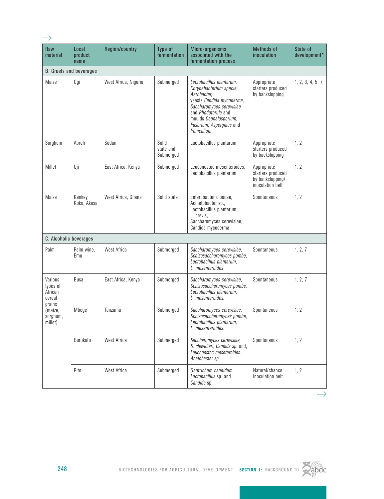| Raw<br>material                          | Local<br>product<br>name       | <b>Region/country</b> | Type of<br>fermentation         | Micro-organisms<br>associated with the<br>fermentation process                                                                                                                                                           | <b>Methods of</b><br>inoculation                                         | State of<br>development* |
|------------------------------------------|--------------------------------|-----------------------|---------------------------------|--------------------------------------------------------------------------------------------------------------------------------------------------------------------------------------------------------------------------|--------------------------------------------------------------------------|--------------------------|
|                                          | <b>B.</b> Gruels and beverages |                       |                                 |                                                                                                                                                                                                                          |                                                                          |                          |
| Maize                                    | Ogi                            | West Africa, Nigeria  | Submerged                       | Lactobacillus plantarum,<br>Corynebacterium specie,<br>Aerobacter,<br>yeasts Candida mycoderma,<br>Saccharomyces cerevisiae<br>and Rhodotorula and<br>moulds Cephalosporium,<br>Fusarium, Aspergillus and<br>Penicillium | Appropriate<br>starters produced<br>by backslopping                      | 1, 2, 3, 4, 5, 7         |
| Sorghum                                  | Abreh                          | Sudan                 | Solid<br>state and<br>Submerged | Lactobacillus plantarum                                                                                                                                                                                                  | Appropriate<br>starters produced<br>by backslopping                      | 1, 2                     |
| Millet                                   | Uji                            | East Africa, Kenya    | Submerged                       | Leuconostoc mesenteroides,<br>Lactobacillus plantarum                                                                                                                                                                    | Appropriate<br>starters produced<br>by backslopping/<br>inoculation belt | 1, 2                     |
| Maize                                    | Kenkey,<br>Koko, Akasa         | West Africa, Ghana    | Solid state                     | Enterobacter cloacae,<br>Acinetobacter sp.,<br>Lactobacillus plantarum,<br>L. brevis,<br>Saccharomyces cerevisiae,<br>Candida mycoderma                                                                                  | Spontaneous                                                              | 1, 2                     |
| C. Alcoholic beverages                   |                                |                       |                                 |                                                                                                                                                                                                                          |                                                                          |                          |
| Palm                                     | Palm wine,<br>Emu              | <b>West Africa</b>    | Submerged                       | Saccharomyces cerevisiae,<br>Schizosaccharomyces pombe,<br>Lactobacillus plantarum,<br>L. mesenteroides                                                                                                                  | Spontaneous                                                              | 1, 2, 7                  |
| Various<br>types of<br>African<br>cereal | Busa                           | East Africa, Kenya    | Submerged                       | Saccharomyces cerevisiae,<br>Schizosaccharomyces pombe,<br>Lactobacillus plantarum,<br>L. mesenteroides.                                                                                                                 | Spontaneous                                                              | 1, 2, 7                  |
| grains<br>(maize,<br>sorghum,<br>millet) | Mbege                          | Tanzania              | Submerged                       | Saccharomyces cerevisiae,<br>Schizosaccharomyces pombe,<br>Lactobacillus plantarum,<br>L. mesenteroides.                                                                                                                 | Spontaneous                                                              | 1, 2                     |
|                                          | Burukutu                       | West Africa           | Submerged                       | Saccharomyces cerevisiae,<br>S. chavelieri. Candida sp. and.<br>Leuconostoc meseteroides.<br>Acetobacter sp.                                                                                                             | Spontaneous                                                              | 1, 2                     |
|                                          | Pito                           | West Africa           | Submerged                       | Geotrichum candidum,<br>Lactobacillus sp. and<br>Candida sp.                                                                                                                                                             | Natural/chance<br>Inoculation belt                                       | 1, 2                     |



 $\rightarrow$ 

 $\rightarrow$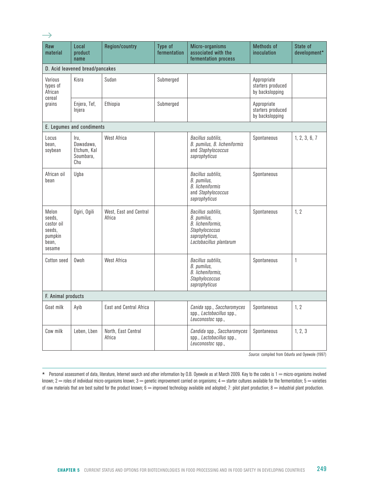| Raw<br>material                                                       | Local<br>product<br>name                             | Region/country                   | Type of<br>fermentation | Micro-organisms<br>associated with the<br>fermentation process                                                               | <b>Methods of</b><br><i>inoculation</i>             | State of<br>development* |
|-----------------------------------------------------------------------|------------------------------------------------------|----------------------------------|-------------------------|------------------------------------------------------------------------------------------------------------------------------|-----------------------------------------------------|--------------------------|
|                                                                       | D. Acid leavened bread/pancakes                      |                                  |                         |                                                                                                                              |                                                     |                          |
| Various<br>types of<br>African<br>cereal                              | Kisra                                                | Sudan                            | Submerged               |                                                                                                                              | Appropriate<br>starters produced<br>by backslopping |                          |
| grains                                                                | Enjera, Tef,<br>Injera                               | Ethiopia                         | Submerged               |                                                                                                                              | Appropriate<br>starters produced<br>by backslopping |                          |
|                                                                       | E. Legumes and condiments                            |                                  |                         |                                                                                                                              |                                                     |                          |
| Locus<br>bean.<br>soybean                                             | Iru.<br>Dawadawa.<br>Etchum, Kal<br>Soumbara,<br>Chu | <b>West Africa</b>               |                         | Bacillus subtilis.<br>B. pumilus, B. licheniformis<br>and Staphylococcus<br>saprophyticus                                    | Spontaneous                                         | 1, 2, 3, 6, 7            |
| African oil<br>bean                                                   | Ugba                                                 |                                  |                         | Bacillus subtilis,<br>B. pumilus,<br><b>B.</b> licheniformis<br>and Staphylococcus<br>saprophyticus                          | Spontaneous                                         |                          |
| Melon<br>seeds.<br>castor oil<br>seeds.<br>pumpkin<br>bean,<br>sesame | Ogiri, Ogili                                         | West. East and Central<br>Africa |                         | Bacillus subtilis,<br>B. pumilus,<br><b>B.</b> licheniformis.<br>Staphylococcus<br>saprophyticus,<br>Lactobacillus plantarum | Spontaneous                                         | 1, 2                     |
| Cotton seed                                                           | Owoh                                                 | West Africa                      |                         | Bacillus subtilis.<br>B. pumilus,<br>B. licheniformis,<br>Staphylococcus<br>saprophyticus                                    | Spontaneous                                         | $\mathbf{1}$             |
| F. Animal products                                                    |                                                      |                                  |                         |                                                                                                                              |                                                     |                          |
| Goat milk                                                             | Ayib                                                 | East and Central Africa          |                         | Canida spp., Saccharomyces<br>spp., Lactobacillus spp.,<br>Leuconostoc spp.,                                                 | Spontaneous                                         | 1, 2                     |
| Cow milk                                                              | Leben, Lben                                          | North, East Central<br>Africa    |                         | Candida spp., Saccharomyces<br>spp., Lactobacillus spp.,<br>Leuconostoc spp.,                                                | Spontaneous                                         | 1, 2, 3                  |

 $\rightarrow$ 

*Source:* compiled from Odunfa and Oyewole (1997)

\* Personal assessment of data, literature, Internet search and other information by O.B. Oyewole as at March 2009. Key to the codes is 1 = micro-organisms involved known;  $2$  = roles of individual micro-organisms known;  $3$  = genetic improvement carried on organisms;  $4$  = starter cultures available for the fermentation;  $5$  = varieties of raw materials that are best suited for the product known;  $\overline{6}$  = improved technology available and adopted; 7: pilot plant production;  $8$  = industrial plant production.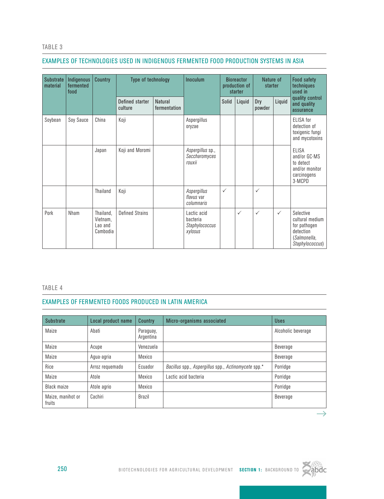#### TABLE 3

#### Examples of technologies used in indigenous fermented food production systems in Asia

| Substrate<br>Indigenous<br>fermented<br>material<br>food |           | <b>Country</b>                               | Type of technology         |                                | Inoculum                                             | <b>Bioreactor</b><br>production of<br>starter |              | Nature of<br>starter |              | <b>Food safety</b><br>techniques<br>used in                                                  |
|----------------------------------------------------------|-----------|----------------------------------------------|----------------------------|--------------------------------|------------------------------------------------------|-----------------------------------------------|--------------|----------------------|--------------|----------------------------------------------------------------------------------------------|
|                                                          |           |                                              | Defined starter<br>culture | <b>Natural</b><br>fermentation |                                                      | Solid                                         | Liquid       | Dry<br>powder        | Liquid       | quality control<br>and quality<br>assurance                                                  |
| Soybean                                                  | Soy Sauce | China                                        | Koji                       |                                | Aspergillus<br>oryzae                                |                                               |              |                      |              | ELISA for<br>detection of<br>toxigenic fungi<br>and mycotoxins                               |
|                                                          |           | Japan                                        | Koji and Moromi            |                                | Aspergillus sp.,<br>Saccharomyces<br>rouxii          |                                               |              |                      |              | <b>ELISA</b><br>and/or GC-MS<br>to detect<br>and/or monitor<br>carcinogens<br>3-MCPD         |
|                                                          |           | Thailand                                     | Koji                       |                                | Aspergillus<br>flavus var<br>columnaris              | $\checkmark$                                  |              | $\checkmark$         |              |                                                                                              |
| Pork                                                     | Nham      | Thailand,<br>Vietnam,<br>Lao and<br>Cambodia | <b>Defined Strains</b>     |                                | Lactic acid<br>bacteria<br>Staphylococcus<br>xylosus |                                               | $\checkmark$ | $\checkmark$         | $\checkmark$ | Selective<br>cultural medium<br>for pathogen<br>detection<br>(Salmonella,<br>Staphylococcus) |

#### TABLE 4

#### Examples of fermented foods produced in Latin America

| <b>Substrate</b>            | Local product name | Country                | Micro-organisms associated                          | <b>Uses</b>        |
|-----------------------------|--------------------|------------------------|-----------------------------------------------------|--------------------|
| Maize                       | Abati              | Paraguay,<br>Argentina |                                                     | Alcoholic beverage |
| Maize                       | Acupe              | Venezuela              |                                                     | Beverage           |
| Maize                       | Agua-agria         | Mexico                 |                                                     | Beverage           |
| Rice                        | Arroz requemado    | Ecuador                | Bacillus spp., Aspergillus spp., Actinomycete spp.* | Porridge           |
| Maize                       | Atole              | Mexico                 | Lactic acid bacteria                                | Porridge           |
| Black maize                 | Atole agrio        | Mexico                 |                                                     | Porridge           |
| Maize, manihot or<br>fruits | Cachiri            | Brazil                 |                                                     | Beverage           |



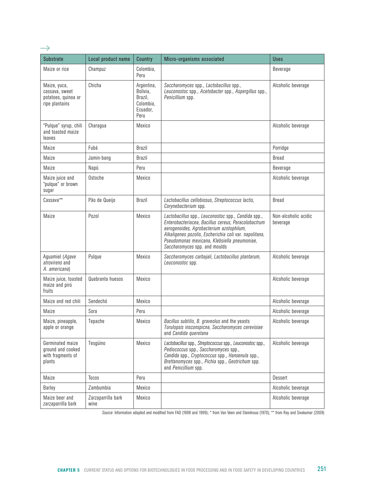| <b>Substrate</b>                                                        | Local product name         | <b>Country</b>                                                     | Micro-organisms associated                                                                                                                                                                                                                                                                        | <b>Uses</b>                      |
|-------------------------------------------------------------------------|----------------------------|--------------------------------------------------------------------|---------------------------------------------------------------------------------------------------------------------------------------------------------------------------------------------------------------------------------------------------------------------------------------------------|----------------------------------|
| Maize or rice                                                           | Champuz                    | Colombia,<br>Peru                                                  |                                                                                                                                                                                                                                                                                                   | <b>Beverage</b>                  |
| Maize, yuca,<br>cassava, sweet<br>potatoes, quinoa or<br>ripe plantains | Chicha                     | Argentina,<br>Bolivia,<br>Brazil,<br>Colombia,<br>Ecuador,<br>Peru | Saccharomyces spp., Lactobacillus spp.,<br>Leuconostoc spp., Acetobacter spp., Aspergillus spp.,<br>Penicillium spp.                                                                                                                                                                              | Alcoholic beverage               |
| "Pulque" syrup, chili<br>and toasted maize<br>leaves                    | Charagua                   | Mexico                                                             |                                                                                                                                                                                                                                                                                                   | Alcoholic beverage               |
| Maize                                                                   | Fubá                       | Brazil                                                             |                                                                                                                                                                                                                                                                                                   | Porridge                         |
| Maize                                                                   | Jamin-bang                 | Brazil                                                             |                                                                                                                                                                                                                                                                                                   | <b>Bread</b>                     |
| Maize                                                                   | Napú                       | Peru                                                               |                                                                                                                                                                                                                                                                                                   | Beverage                         |
| Maize juice and<br>"pulque" or brown<br>sugar                           | Ostoche                    | Mexico                                                             |                                                                                                                                                                                                                                                                                                   | Alcoholic beverage               |
| Cassava**                                                               | Pão de Queijo              | Brazil                                                             | Lactobacillus cellobiosus, Streptococcus lactis,<br>Corynebacterium spp.                                                                                                                                                                                                                          | Bread                            |
| Maize                                                                   | Pozol                      | Mexico                                                             | Lactobacillus spp., Leuconostoc spp., Candida spp.,<br>Enterobacteriacea, Bacillus cereus, Paracolobactrum<br>aerogenoides, Agrobacterium azotophilum,<br>Alkaligenes pozolis, Escherichia coli var. napolitana,<br>Pseudomonas mexicana, Klebsiella pneumoniae,<br>Saccharomyces spp. and moulds | Non-alcoholic acidic<br>beverage |
| Aguamiel ( <i>Agave</i><br><i>atrovirens</i> and<br>A. americana)       | Pulque                     | Mexico                                                             | Saccharomyces carbajali, Lactobacillus plantarum,<br>Leuconostoc spp.                                                                                                                                                                                                                             | Alcoholic beverage               |
| Maize juice, toasted<br>maize and pirú<br>fruits                        | Quebranta huesos           | Mexico                                                             |                                                                                                                                                                                                                                                                                                   | Alcoholic beverage               |
| Maize and red chili                                                     | Sendechó                   | Mexico                                                             |                                                                                                                                                                                                                                                                                                   | Alcoholic beverage               |
| Maize                                                                   | Sora                       | Peru                                                               |                                                                                                                                                                                                                                                                                                   | Alcoholic beverage               |
| Maize, pineapple,<br>apple or orange                                    | Tepache                    | Mexico                                                             | Bacillus subtilis, B. graveolus and the yeasts<br>Torulopsis insconspicna, Saccharomyces cerevisiae<br>and Candida queretana                                                                                                                                                                      | Alcoholic beverage               |
| Germinated maize<br>ground and cooked<br>with fragments of<br>plants    | Tesgüino                   | Mexico                                                             | Lactobacillus spp., Streptococcus spp., Leuconostoc spp.,<br>Pediococcus spp., Saccharomyces spp.,<br>Candida spp., Cryptococcus spp., Hansenula spp.,<br>Brettanomyces spp., Pichia spp., Geotrichum spp.<br>and <i>Penicillium</i> spp.                                                         | Alcoholic beverage               |
| Maize                                                                   | Tocos                      | Peru                                                               |                                                                                                                                                                                                                                                                                                   | Dessert                          |
| Barley                                                                  | Zambumbia                  | Mexico                                                             |                                                                                                                                                                                                                                                                                                   | Alcoholic beverage               |
| Maize beer and<br>zarzaparrilla bark                                    | Zarzaparrilla bark<br>wine | Mexico                                                             |                                                                                                                                                                                                                                                                                                   | Alcoholic beverage               |

 $\rightarrow$ 

*Source*: Information adapted and modified from FAO (1998 and 1999); \* from Van Veen and Steinkraus (1970), \*\* from Ray and Sivakumar (2009)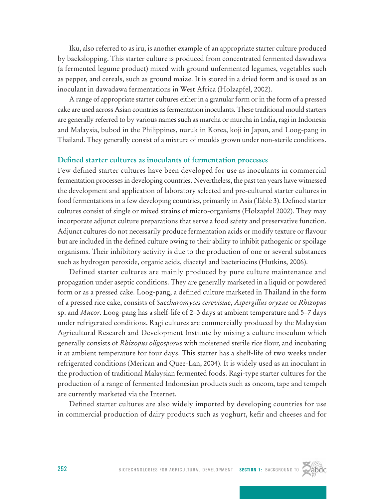Iku, also referred to as iru, is another example of an appropriate starter culture produced by backslopping. This starter culture is produced from concentrated fermented dawadawa (a fermented legume product) mixed with ground unfermented legumes, vegetables such as pepper, and cereals, such as ground maize. It is stored in a dried form and is used as an inoculant in dawadawa fermentations in West Africa (Holzapfel, 2002).

A range of appropriate starter cultures either in a granular form or in the form of a pressed cake are used across Asian countries as fermentation inoculants. These traditional mould starters are generally referred to by various names such as marcha or murcha in India, ragi in Indonesia and Malaysia, bubod in the Philippines, nuruk in Korea, koji in Japan, and Loog-pang in Thailand. They generally consist of a mixture of moulds grown under non-sterile conditions.

#### **Defined starter cultures as inoculants of fermentation processes**

Few defined starter cultures have been developed for use as inoculants in commercial fermentation processes in developing countries. Nevertheless, the past ten years have witnessed the development and application of laboratory selected and pre-cultured starter cultures in food fermentations in a few developing countries, primarily in Asia (Table 3). Defined starter cultures consist of single or mixed strains of micro-organisms (Holzapfel 2002). They may incorporate adjunct culture preparations that serve a food safety and preservative function. Adjunct cultures do not necessarily produce fermentation acids or modify texture or flavour but are included in the defined culture owing to their ability to inhibit pathogenic or spoilage organisms. Their inhibitory activity is due to the production of one or several substances such as hydrogen peroxide, organic acids, diacetyl and bacteriocins (Hutkins, 2006).

Defined starter cultures are mainly produced by pure culture maintenance and propagation under aseptic conditions. They are generally marketed in a liquid or powdered form or as a pressed cake. Loog-pang, a defined culture marketed in Thailand in the form of a pressed rice cake, consists of *Saccharomyces cerevisiae*, *Aspergillus oryzae* or *Rhizopus* sp. and *Mucor*. Loog-pang has a shelf-life of 2–3 days at ambient temperature and 5–7 days under refrigerated conditions. Ragi cultures are commercially produced by the Malaysian Agricultural Research and Development Institute by mixing a culture inoculum which generally consists of *Rhizopus oligosporus* with moistened sterile rice flour, and incubating it at ambient temperature for four days. This starter has a shelf-life of two weeks under refrigerated conditions (Merican and Quee-Lan, 2004). It is widely used as an inoculant in the production of traditional Malaysian fermented foods. Ragi-type starter cultures for the production of a range of fermented Indonesian products such as oncom, tape and tempeh are currently marketed via the Internet.

Defined starter cultures are also widely imported by developing countries for use in commercial production of dairy products such as yoghurt, kefir and cheeses and for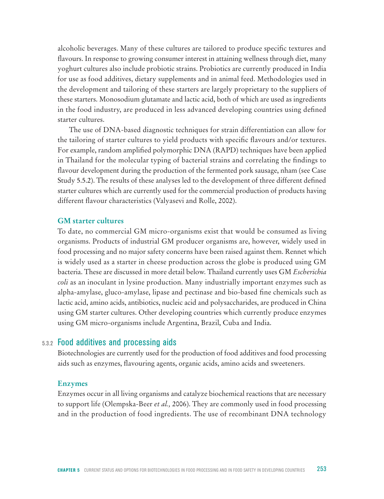alcoholic beverages. Many of these cultures are tailored to produce specific textures and flavours. In response to growing consumer interest in attaining wellness through diet, many yoghurt cultures also include probiotic strains. Probiotics are currently produced in India for use as food additives, dietary supplements and in animal feed. Methodologies used in the development and tailoring of these starters are largely proprietary to the suppliers of these starters. Monosodium glutamate and lactic acid, both of which are used as ingredients in the food industry, are produced in less advanced developing countries using defined starter cultures.

The use of DNA-based diagnostic techniques for strain differentiation can allow for the tailoring of starter cultures to yield products with specific flavours and/or textures. For example, random amplified polymorphic DNA (RAPD) techniques have been applied in Thailand for the molecular typing of bacterial strains and correlating the findings to flavour development during the production of the fermented pork sausage, nham (see Case Study 5.5.2). The results of these analyses led to the development of three different defined starter cultures which are currently used for the commercial production of products having different flavour characteristics (Valyasevi and Rolle, 2002).

#### **GM starter cultures**

To date, no commercial GM micro-organisms exist that would be consumed as living organisms. Products of industrial GM producer organisms are, however, widely used in food processing and no major safety concerns have been raised against them. Rennet which is widely used as a starter in cheese production across the globe is produced using GM bacteria. These are discussed in more detail below. Thailand currently uses GM *Escherichia coli* as an inoculant in lysine production. Many industrially important enzymes such as alpha-amylase, gluco-amylase, lipase and pectinase and bio-based fine chemicals such as lactic acid, amino acids, antibiotics, nucleic acid and polysaccharides, are produced in China using GM starter cultures. Other developing countries which currently produce enzymes using GM micro-organisms include Argentina, Brazil, Cuba and India.

## 5.3.2 Food additives and processing aids

Biotechnologies are currently used for the production of food additives and food processing aids such as enzymes, flavouring agents, organic acids, amino acids and sweeteners.

#### **Enzymes**

Enzymes occur in all living organisms and catalyze biochemical reactions that are necessary to support life (Olempska-Beer *et al.,* 2006). They are commonly used in food processing and in the production of food ingredients. The use of recombinant DNA technology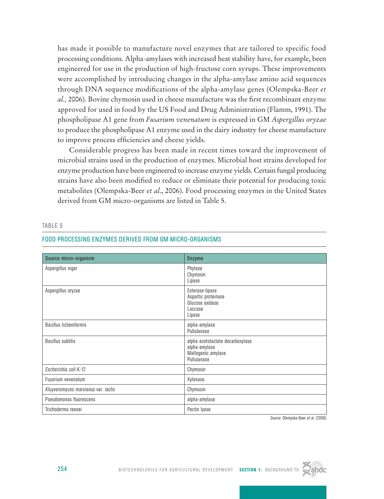has made it possible to manufacture novel enzymes that are tailored to specific food processing conditions. Alpha-amylases with increased heat stability have, for example, been engineered for use in the production of high-fructose corn syrups. These improvements were accomplished by introducing changes in the alpha-amylase amino acid sequences through DNA sequence modifications of the alpha-amylase genes (Olempska-Beer *et al.,* 2006). Bovine chymosin used in cheese manufacture was the first recombinant enzyme approved for used in food by the US Food and Drug Administration (Flamm, 1991). The phospholipase A1 gene from *Fusarium venenatum* is expressed in GM *Aspergillus oryzae* to produce the phospholipase A1 enzyme used in the dairy industry for cheese manufacture to improve process efficiencies and cheese yields.

Considerable progress has been made in recent times toward the improvement of microbial strains used in the production of enzymes. Microbial host strains developed for enzyme production have been engineered to increase enzyme yields. Certain fungal producing strains have also been modified to reduce or eliminate their potential for producing toxic metabolites (Olempska-Beer *et al*., 2006). Food processing enzymes in the United States derived from GM micro-organisms are listed in Table 5.

| Source micro-organism               | <b>Enzyme</b>                                                                          |
|-------------------------------------|----------------------------------------------------------------------------------------|
| Aspergillus niger                   | Phytase<br>Chymosin<br>Lipase                                                          |
| Aspergillus oryzae                  | Esterase-lipase<br>Aspartic proteinase<br>Glucose oxidase<br>Laccase<br>Lipase         |
| <b>Bacillus licheniformis</b>       | alpha-amylase<br>Pullulanase                                                           |
| <b>Bacillus subtilis</b>            | alpha-acetolactate decarboxylase<br>alpha-amylase<br>Maltogenic amylase<br>Pullulanase |
| Escherichia coli K-12               | Chymosin                                                                               |
| Fusarium venenatum                  | Xylanase                                                                               |
| Kluyveromyces marxianus var. lactis | Chymosin                                                                               |
| Pseudomonas fluorescens             | alpha-amylase                                                                          |
| Trichoderma reesei                  | Pectin lyase                                                                           |

Table 5

#### Food processing enzymes derived from GM micro-organisms

*Source*: Olempska-Beer *et al*. (2006)

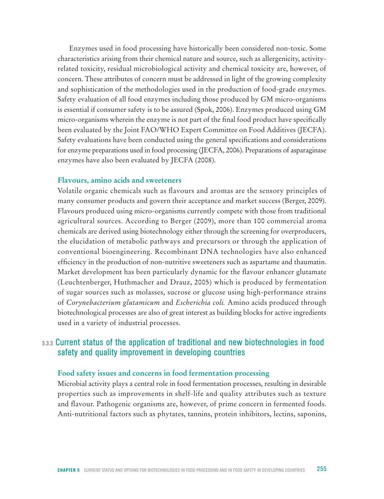Enzymes used in food processing have historically been considered non-toxic. Some characteristics arising from their chemical nature and source, such as allergenicity, activityrelated toxicity, residual microbiological activity and chemical toxicity are, however, of concern. These attributes of concern must be addressed in light of the growing complexity and sophistication of the methodologies used in the production of food-grade enzymes. Safety evaluation of all food enzymes including those produced by GM micro-organisms is essential if consumer safety is to be assured (Spok, 2006). Enzymes produced using GM micro-organisms wherein the enzyme is not part of the final food product have specifically been evaluated by the Joint FAO/WHO Expert Committee on Food Additives (JECFA). Safety evaluations have been conducted using the general specifications and considerations for enzyme preparations used in food processing (JECFA, 2006). Preparations of asparaginase enzymes have also been evaluated by JECFA (2008).

## **Flavours, amino acids and sweeteners**

Volatile organic chemicals such as flavours and aromas are the sensory principles of many consumer products and govern their acceptance and market success (Berger, 2009). Flavours produced using micro-organisms currently compete with those from traditional agricultural sources. According to Berger (2009), more than 100 commercial aroma chemicals are derived using biotechnology either through the screening for overproducers, the elucidation of metabolic pathways and precursors or through the application of conventional bioengineering. Recombinant DNA technologies have also enhanced efficiency in the production of non-nutritive sweeteners such as aspartame and thaumatin. Market development has been particularly dynamic for the flavour enhancer glutamate (Leuchtenberger, Huthmacher and Drauz, 2005) which is produced by fermentation of sugar sources such as molasses, sucrose or glucose using high-performance strains of *Corynebacterium glutamicum* and *Escherichia coli.* Amino acids produced through biotechnological processes are also of great interest as building blocks for active ingredients used in a variety of industrial processes.

# 5.3.3 Current status of the application of traditional and new biotechnologies in food safety and quality improvement in developing countries

#### **Food safety issues and concerns in food fermentation processing**

Microbial activity plays a central role in food fermentation processes, resulting in desirable properties such as improvements in shelf-life and quality attributes such as texture and flavour. Pathogenic organisms are, however, of prime concern in fermented foods. Anti-nutritional factors such as phytates, tannins, protein inhibitors, lectins, saponins,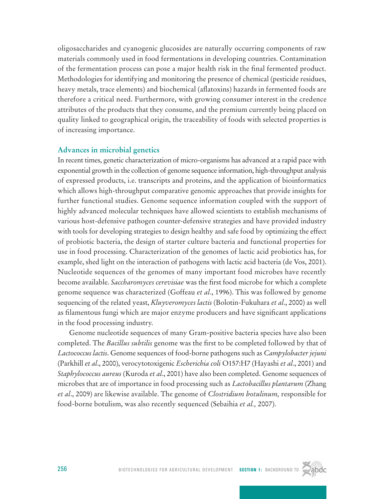oligosaccharides and cyanogenic glucosides are naturally occurring components of raw materials commonly used in food fermentations in developing countries. Contamination of the fermentation process can pose a major health risk in the final fermented product. Methodologies for identifying and monitoring the presence of chemical (pesticide residues, heavy metals, trace elements) and biochemical (aflatoxins) hazards in fermented foods are therefore a critical need. Furthermore, with growing consumer interest in the credence attributes of the products that they consume, and the premium currently being placed on quality linked to geographical origin, the traceability of foods with selected properties is of increasing importance.

# **Advances in microbial genetics**

In recent times, genetic characterization of micro-organisms has advanced at a rapid pace with exponential growth in the collection of genome sequence information, high-throughput analysis of expressed products, i.e. transcripts and proteins, and the application of bioinformatics which allows high-throughput comparative genomic approaches that provide insights for further functional studies. Genome sequence information coupled with the support of highly advanced molecular techniques have allowed scientists to establish mechanisms of various host-defensive pathogen counter-defensive strategies and have provided industry with tools for developing strategies to design healthy and safe food by optimizing the effect of probiotic bacteria, the design of starter culture bacteria and functional properties for use in food processing. Characterization of the genomes of lactic acid probiotics has, for example, shed light on the interaction of pathogens with lactic acid bacteria (de Vos, 2001). Nucleotide sequences of the genomes of many important food microbes have recently become available. *Saccharomyces cerevisiae* was the first food microbe for which a complete genome sequence was characterized (Goffeau *et al*., 1996). This was followed by genome sequencing of the related yeast, *Kluyveromyces lactis* (Bolotin-Fukuhara *et al*., 2000) as well as filamentous fungi which are major enzyme producers and have significant applications in the food processing industry.

Genome nucleotide sequences of many Gram-positive bacteria species have also been completed. The *Bacillus subtilis* genome was the first to be completed followed by that of *Lactococcus lactis*. Genome sequences of food-borne pathogens such as *Campylobacter jejuni* (Parkhill *et al*., 2000), verocytotoxigenic *Escherichia coli* O157:H7 (Hayashi *et al*., 2001) and *Staphylococcus aureus* (Kuroda *et al*., 2001) have also been completed. Genome sequences of microbes that are of importance in food processing such as *Lactobacillus plantarum* (Zhang *et al*., 2009) are likewise available. The genome of *Clostridium botulinum,* responsible for food-borne botulism, was also recently sequenced (Sebaihia *et al.,* 2007).

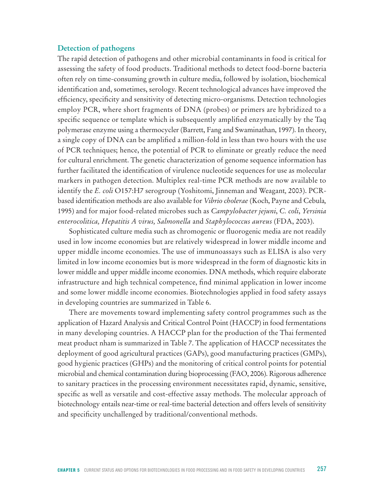#### **Detection of pathogens**

The rapid detection of pathogens and other microbial contaminants in food is critical for assessing the safety of food products. Traditional methods to detect food-borne bacteria often rely on time-consuming growth in culture media, followed by isolation, biochemical identification and, sometimes, serology. Recent technological advances have improved the efficiency, specificity and sensitivity of detecting micro-organisms. Detection technologies employ PCR, where short fragments of DNA (probes) or primers are hybridized to a specific sequence or template which is subsequently amplified enzymatically by the Taq polymerase enzyme using a thermocycler (Barrett, Fang and Swaminathan, 1997). In theory, a single copy of DNA can be amplified a million-fold in less than two hours with the use of PCR techniques; hence, the potential of PCR to eliminate or greatly reduce the need for cultural enrichment. The genetic characterization of genome sequence information has further facilitated the identification of virulence nucleotide sequences for use as molecular markers in pathogen detection. Multiplex real-time PCR methods are now available to identify the *E. coli* O157:H7 serogroup (Yoshitomi, Jinneman and Weagant*,* 2003). PCRbased identification methods are also available for *Vibrio cholerae* (Koch, Payne and Cebula*,* 1995) and for major food-related microbes such as *Campylobacter jejuni*, *C. coli*, *Yersinia enterocolitica, Hepatitis A virus, Salmonella* and *Staphylococcus aureus* (FDA, 2003).

Sophisticated culture media such as chromogenic or fluorogenic media are not readily used in low income economies but are relatively widespread in lower middle income and upper middle income economies. The use of immunoassays such as ELISA is also very limited in low income economies but is more widespread in the form of diagnostic kits in lower middle and upper middle income economies. DNA methods, which require elaborate infrastructure and high technical competence, find minimal application in lower income and some lower middle income economies. Biotechnologies applied in food safety assays in developing countries are summarized in Table 6.

There are movements toward implementing safety control programmes such as the application of Hazard Analysis and Critical Control Point (HACCP) in food fermentations in many developing countries. A HACCP plan for the production of the Thai fermented meat product nham is summarized in Table 7. The application of HACCP necessitates the deployment of good agricultural practices (GAPs), good manufacturing practices (GMPs), good hygienic practices (GHPs) and the monitoring of critical control points for potential microbial and chemical contamination during bioprocessing (FAO, 2006). Rigorous adherence to sanitary practices in the processing environment necessitates rapid, dynamic, sensitive, specific as well as versatile and cost-effective assay methods. The molecular approach of biotechnology entails near-time or real-time bacterial detection and offers levels of sensitivity and specificity unchallenged by traditional/conventional methods.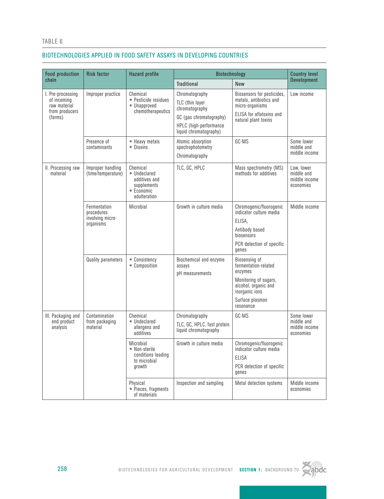#### TABLE 6

#### Biotechnologies applied in food safety assays in developing countries

| <b>Food production</b>                                                        | <b>Risk factor</b>                                          | <b>Hazard profile</b>                                                                  | Biotechnology                                                                                                                      |                                                                                                                                                     | <b>Country level</b>                                   |
|-------------------------------------------------------------------------------|-------------------------------------------------------------|----------------------------------------------------------------------------------------|------------------------------------------------------------------------------------------------------------------------------------|-----------------------------------------------------------------------------------------------------------------------------------------------------|--------------------------------------------------------|
| chain                                                                         |                                                             |                                                                                        | <b>Traditional</b>                                                                                                                 | <b>New</b>                                                                                                                                          | <b>Development</b>                                     |
| I. Pre-processing<br>of incoming<br>raw material<br>from producers<br>(farms) | Improper practice                                           | Chemical<br>• Pesticide residues<br>• Unapproved<br>chemotherapeutics                  | Chromatography<br>TLC (thin layer<br>chromatography<br>GC (gas chromatography)<br>HPLC (high-performance<br>liquid chromatography) | Biosensors for pesticides,<br>metals, antibiotics and<br>micro-organisms<br>ELISA for aflatoxins and<br>natural plant toxins                        | Low income                                             |
|                                                                               | Presence of<br>contaminants                                 | • Heavy metals<br>• Dinxins                                                            | Atomic absorption<br>spectrophotometry<br>Chromatography                                                                           | GC-MS                                                                                                                                               | Some lower<br>middle and<br>middle income              |
| II. Processing raw<br>material                                                | Improper handling<br>(time/temperature)                     | Chemical<br>• Undeclared<br>additives and<br>supplements<br>• Economic<br>adulteration | TLC, GC, HPLC                                                                                                                      | Mass spectrometry (MS)<br>methods for additives                                                                                                     | Low, lower<br>middle and<br>middle income<br>economies |
|                                                                               | Fermentation<br>procedures<br>involving micro-<br>organisms | Microbial                                                                              | Growth in culture media                                                                                                            | Chromogenic/fluorogenic<br>indicator culture media<br>ELISA,<br>Antibody based<br>biosensors<br>PCR detection of specific<br>genes                  | Middle income                                          |
|                                                                               | <b>Quality parameters</b>                                   | • Consistency<br>• Composition                                                         | Biochemical and enzyme<br>assays<br>pH measurements                                                                                | Biosensing of<br>fermentation-related<br>enzymes<br>Monitoring of sugars,<br>alcohol, organic and<br>inorganic ions<br>Surface plasmon<br>resonance |                                                        |
| III. Packaging and<br>end product<br>analysis                                 | Contamination<br>from packaging<br>material                 | Chemical<br>• Undeclared<br>allergens and<br>anditives                                 | Chromatography<br>TLC, GC, HPLC, fast protein<br>liquid chromatography                                                             | GC-MS                                                                                                                                               | Some lower<br>middle and<br>middle income<br>economies |
|                                                                               |                                                             | Microbial<br>• Non-sterile<br>conditions leading<br>to microbial<br>growth             | Growth in culture media                                                                                                            | Chromogenic/fluorogenic<br>indicator culture media<br>ELISA<br>PCR detection of specific<br>genes                                                   |                                                        |
|                                                                               |                                                             | Physical<br>• Pieces, fragments<br>of materials                                        | Inspection and sampling                                                                                                            | Metal detection systems                                                                                                                             | Middle income<br>economies                             |

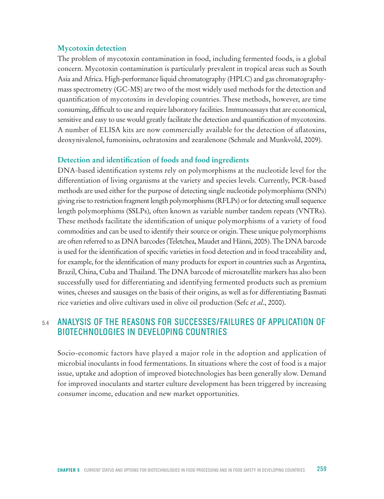#### **Mycotoxin detection**

The problem of mycotoxin contamination in food, including fermented foods, is a global concern. Mycotoxin contamination is particularly prevalent in tropical areas such as South Asia and Africa. High-performance liquid chromatography (HPLC) and gas chromatographymass spectrometry (GC-MS) are two of the most widely used methods for the detection and quantification of mycotoxins in developing countries. These methods, however, are time consuming, difficult to use and require laboratory facilities. Immunoassays that are economical, sensitive and easy to use would greatly facilitate the detection and quantification of mycotoxins. A number of ELISA kits are now commercially available for the detection of aflatoxins, deoxynivalenol, fumonisins, ochratoxins and zearalenone (Schmale and Munkvold, 2009).

#### **Detection and identification of foods and food ingredients**

DNA-based identification systems rely on polymorphisms at the nucleotide level for the differentiation of living organisms at the variety and species levels. Currently, PCR-based methods are used either for the purpose of detecting single nucleotide polymorphisms (SNPs) giving rise to restriction fragment length polymorphisms (RFLPs) or for detecting small sequence length polymorphisms (SSLPs), often known as variable number tandem repeats (VNTRs). These methods facilitate the identification of unique polymorphisms of a variety of food commodities and can be used to identify their source or origin. These unique polymorphisms are often referred to as DNA barcodes (Teletchea, Maudet and Hänni, 2005). The DNA barcode is used for the identification of specific varieties in food detection and in food traceability and, for example, for the identification of many products for export in countries such as Argentina, Brazil, China, Cuba and Thailand. The DNA barcode of microsatellite markers has also been successfully used for differentiating and identifying fermented products such as premium wines, cheeses and sausages on the basis of their origins, as well as for differentiating Basmati rice varieties and olive cultivars used in olive oil production (Sefc *et al*., 2000).

# 5.4 Analysis of the Reasons for Successes/Failures of Application of Biotechnologies in Developing Countries

Socio-economic factors have played a major role in the adoption and application of microbial inoculants in food fermentations. In situations where the cost of food is a major issue, uptake and adoption of improved biotechnologies has been generally slow. Demand for improved inoculants and starter culture development has been triggered by increasing consumer income, education and new market opportunities.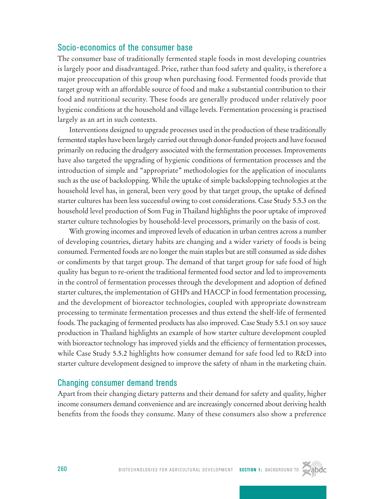# Socio-economics of the consumer base

The consumer base of traditionally fermented staple foods in most developing countries is largely poor and disadvantaged. Price, rather than food safety and quality, is therefore a major preoccupation of this group when purchasing food. Fermented foods provide that target group with an affordable source of food and make a substantial contribution to their food and nutritional security. These foods are generally produced under relatively poor hygienic conditions at the household and village levels. Fermentation processing is practised largely as an art in such contexts.

Interventions designed to upgrade processes used in the production of these traditionally fermented staples have been largely carried out through donor-funded projects and have focused primarily on reducing the drudgery associated with the fermentation processes. Improvements have also targeted the upgrading of hygienic conditions of fermentation processes and the introduction of simple and "appropriate" methodologies for the application of inoculants such as the use of backslopping. While the uptake of simple backslopping technologies at the household level has, in general, been very good by that target group, the uptake of defined starter cultures has been less successful owing to cost considerations. Case Study 5.5.3 on the household level production of Som Fug in Thailand highlights the poor uptake of improved starter culture technologies by household-level processors, primarily on the basis of cost.

With growing incomes and improved levels of education in urban centres across a number of developing countries, dietary habits are changing and a wider variety of foods is being consumed. Fermented foods are no longer the main staples but are still consumed as side dishes or condiments by that target group. The demand of that target group for safe food of high quality has begun to re-orient the traditional fermented food sector and led to improvements in the control of fermentation processes through the development and adoption of defined starter cultures, the implementation of GHPs and HACCP in food fermentation processing, and the development of bioreactor technologies, coupled with appropriate downstream processing to terminate fermentation processes and thus extend the shelf-life of fermented foods. The packaging of fermented products has also improved. Case Study 5.5.1 on soy sauce production in Thailand highlights an example of how starter culture development coupled with bioreactor technology has improved yields and the efficiency of fermentation processes, while Case Study 5.5.2 highlights how consumer demand for safe food led to R&D into starter culture development designed to improve the safety of nham in the marketing chain.

# Changing consumer demand trends

Apart from their changing dietary patterns and their demand for safety and quality, higher income consumers demand convenience and are increasingly concerned about deriving health benefits from the foods they consume. Many of these consumers also show a preference

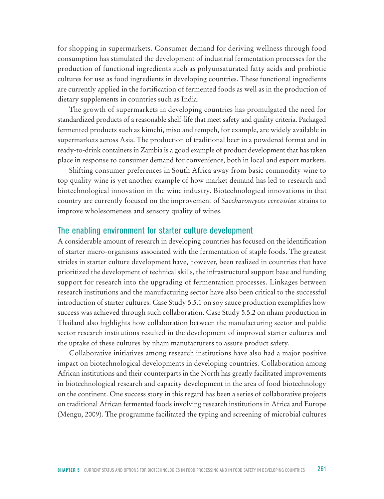for shopping in supermarkets. Consumer demand for deriving wellness through food consumption has stimulated the development of industrial fermentation processes for the production of functional ingredients such as polyunsaturated fatty acids and probiotic cultures for use as food ingredients in developing countries. These functional ingredients are currently applied in the fortification of fermented foods as well as in the production of dietary supplements in countries such as India.

The growth of supermarkets in developing countries has promulgated the need for standardized products of a reasonable shelf-life that meet safety and quality criteria. Packaged fermented products such as kimchi, miso and tempeh, for example, are widely available in supermarkets across Asia. The production of traditional beer in a powdered format and in ready-to-drink containers in Zambia is a good example of product development that has taken place in response to consumer demand for convenience, both in local and export markets.

Shifting consumer preferences in South Africa away from basic commodity wine to top quality wine is yet another example of how market demand has led to research and biotechnological innovation in the wine industry. Biotechnological innovations in that country are currently focused on the improvement of *Saccharomyces cerevisiae* strains to improve wholesomeness and sensory quality of wines.

#### The enabling environment for starter culture development

A considerable amount of research in developing countries has focused on the identification of starter micro-organisms associated with the fermentation of staple foods. The greatest strides in starter culture development have, however, been realized in countries that have prioritized the development of technical skills, the infrastructural support base and funding support for research into the upgrading of fermentation processes. Linkages between research institutions and the manufacturing sector have also been critical to the successful introduction of starter cultures. Case Study 5.5.1 on soy sauce production exemplifies how success was achieved through such collaboration. Case Study 5.5.2 on nham production in Thailand also highlights how collaboration between the manufacturing sector and public sector research institutions resulted in the development of improved starter cultures and the uptake of these cultures by nham manufacturers to assure product safety.

Collaborative initiatives among research institutions have also had a major positive impact on biotechnological developments in developing countries. Collaboration among African institutions and their counterparts in the North has greatly facilitated improvements in biotechnological research and capacity development in the area of food biotechnology on the continent. One success story in this regard has been a series of collaborative projects on traditional African fermented foods involving research institutions in Africa and Europe (Mengu, 2009). The programme facilitated the typing and screening of microbial cultures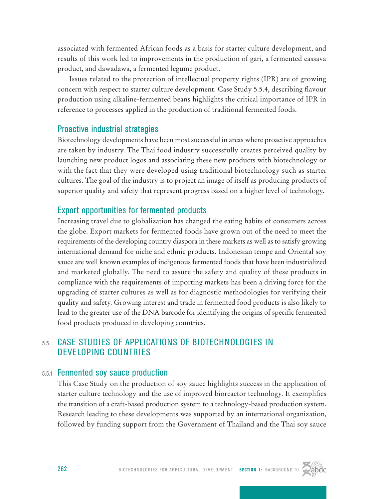associated with fermented African foods as a basis for starter culture development, and results of this work led to improvements in the production of gari, a fermented cassava product, and dawadawa, a fermented legume product.

Issues related to the protection of intellectual property rights (IPR) are of growing concern with respect to starter culture development. Case Study 5.5.4, describing flavour production using alkaline-fermented beans highlights the critical importance of IPR in reference to processes applied in the production of traditional fermented foods.

# Proactive industrial strategies

Biotechnology developments have been most successful in areas where proactive approaches are taken by industry. The Thai food industry successfully creates perceived quality by launching new product logos and associating these new products with biotechnology or with the fact that they were developed using traditional biotechnology such as starter cultures. The goal of the industry is to project an image of itself as producing products of superior quality and safety that represent progress based on a higher level of technology.

# Export opportunities for fermented products

Increasing travel due to globalization has changed the eating habits of consumers across the globe. Export markets for fermented foods have grown out of the need to meet the requirements of the developing country diaspora in these markets as well as to satisfy growing international demand for niche and ethnic products. Indonesian tempe and Oriental soy sauce are well known examples of indigenous fermented foods that have been industrialized and marketed globally. The need to assure the safety and quality of these products in compliance with the requirements of importing markets has been a driving force for the upgrading of starter cultures as well as for diagnostic methodologies for verifying their quality and safety. Growing interest and trade in fermented food products is also likely to lead to the greater use of the DNA barcode for identifying the origins of specific fermented food products produced in developing countries.

# 5.5 Case Studies of Applications of Biotechnologies in Developing Countries

# 5.5.1 Fermented soy sauce production

This Case Study on the production of soy sauce highlights success in the application of starter culture technology and the use of improved bioreactor technology. It exemplifies the transition of a craft-based production system to a technology-based production system. Research leading to these developments was supported by an international organization, followed by funding support from the Government of Thailand and the Thai soy sauce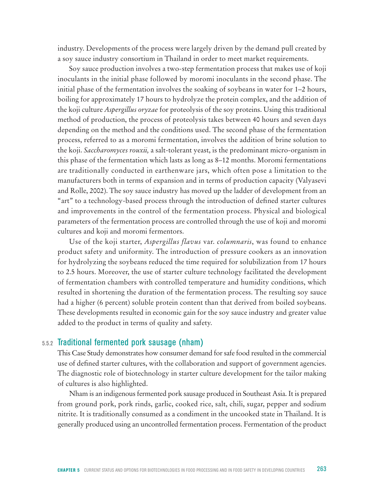industry. Developments of the process were largely driven by the demand pull created by a soy sauce industry consortium in Thailand in order to meet market requirements.

Soy sauce production involves a two-step fermentation process that makes use of koji inoculants in the initial phase followed by moromi inoculants in the second phase. The initial phase of the fermentation involves the soaking of soybeans in water for 1–2 hours, boiling for approximately 17 hours to hydrolyze the protein complex, and the addition of the koji culture *Aspergillus oryzae* for proteolysis of the soy proteins. Using this traditional method of production, the process of proteolysis takes between 40 hours and seven days depending on the method and the conditions used. The second phase of the fermentation process, referred to as a moromi fermentation, involves the addition of brine solution to the koji. *Saccharomyces rouxii,* a salt-tolerant yeast, is the predominant micro-organism in this phase of the fermentation which lasts as long as 8–12 months. Moromi fermentations are traditionally conducted in earthenware jars, which often pose a limitation to the manufacturers both in terms of expansion and in terms of production capacity (Valyasevi and Rolle, 2002). The soy sauce industry has moved up the ladder of development from an "art" to a technology-based process through the introduction of defined starter cultures and improvements in the control of the fermentation process. Physical and biological parameters of the fermentation process are controlled through the use of koji and moromi cultures and koji and moromi fermentors.

Use of the koji starter, *Aspergillus flavus* var. *columnaris*, was found to enhance product safety and uniformity. The introduction of pressure cookers as an innovation for hydrolyzing the soybeans reduced the time required for solubilization from 17 hours to 2.5 hours. Moreover, the use of starter culture technology facilitated the development of fermentation chambers with controlled temperature and humidity conditions, which resulted in shortening the duration of the fermentation process. The resulting soy sauce had a higher (6 percent) soluble protein content than that derived from boiled soybeans. These developments resulted in economic gain for the soy sauce industry and greater value added to the product in terms of quality and safety.

#### 5.5.2 Traditional fermented pork sausage (nham)

This Case Study demonstrates how consumer demand for safe food resulted in the commercial use of defined starter cultures, with the collaboration and support of government agencies. The diagnostic role of biotechnology in starter culture development for the tailor making of cultures is also highlighted.

Nham is an indigenous fermented pork sausage produced in Southeast Asia. It is prepared from ground pork, pork rinds, garlic, cooked rice, salt, chili, sugar, pepper and sodium nitrite. It is traditionally consumed as a condiment in the uncooked state in Thailand. It is generally produced using an uncontrolled fermentation process. Fermentation of the product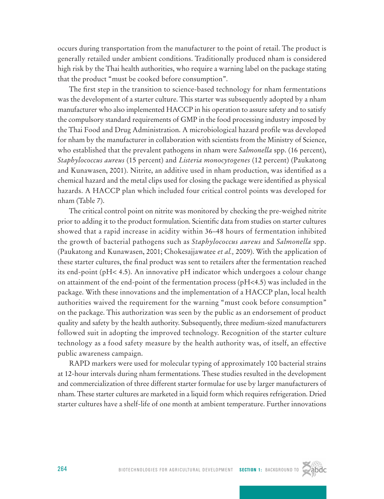occurs during transportation from the manufacturer to the point of retail. The product is generally retailed under ambient conditions. Traditionally produced nham is considered high risk by the Thai health authorities, who require a warning label on the package stating that the product "must be cooked before consumption".

The first step in the transition to science-based technology for nham fermentations was the development of a starter culture. This starter was subsequently adopted by a nham manufacturer who also implemented HACCP in his operation to assure safety and to satisfy the compulsory standard requirements of GMP in the food processing industry imposed by the Thai Food and Drug Administration. A microbiological hazard profile was developed for nham by the manufacturer in collaboration with scientists from the Ministry of Science, who established that the prevalent pathogens in nham were *Salmonella* spp. (16 percent), *Staphylococcus aureus* (15 percent) and *Listeria monocytogenes* (12 percent) (Paukatong and Kunawasen, 2001). Nitrite, an additive used in nham production, was identified as a chemical hazard and the metal clips used for closing the package were identified as physical hazards. A HACCP plan which included four critical control points was developed for nham (Table 7).

The critical control point on nitrite was monitored by checking the pre-weighed nitrite prior to adding it to the product formulation. Scientific data from studies on starter cultures showed that a rapid increase in acidity within 36–48 hours of fermentation inhibited the growth of bacterial pathogens such as *Staphylococcus aureus* and *Salmonella* spp. (Paukatong and Kunawasen, 2001; Chokesajjawatee *et al.,* 2009). With the application of these starter cultures, the final product was sent to retailers after the fermentation reached its end-point (pH< 4.5). An innovative pH indicator which undergoes a colour change on attainment of the end-point of the fermentation process (pH<4.5) was included in the package. With these innovations and the implementation of a HACCP plan, local health authorities waived the requirement for the warning "must cook before consumption" on the package. This authorization was seen by the public as an endorsement of product quality and safety by the health authority. Subsequently, three medium-sized manufacturers followed suit in adopting the improved technology. Recognition of the starter culture technology as a food safety measure by the health authority was, of itself, an effective public awareness campaign.

RAPD markers were used for molecular typing of approximately 100 bacterial strains at 12-hour intervals during nham fermentations. These studies resulted in the development and commercialization of three different starter formulae for use by larger manufacturers of nham. These starter cultures are marketed in a liquid form which requires refrigeration. Dried starter cultures have a shelf-life of one month at ambient temperature. Further innovations

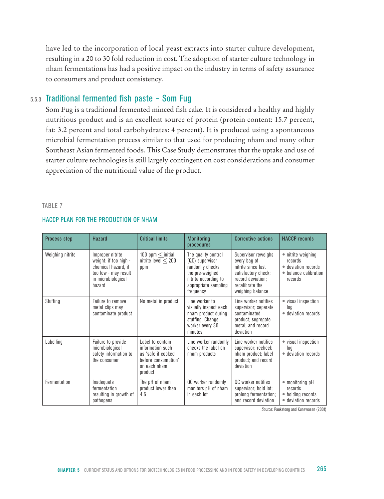have led to the incorporation of local yeast extracts into starter culture development, resulting in a 20 to 30 fold reduction in cost. The adoption of starter culture technology in nham fermentations has had a positive impact on the industry in terms of safety assurance to consumers and product consistency.

# 5.5.3 Traditional fermented fish paste – Som Fug

Som Fug is a traditional fermented minced fish cake. It is considered a healthy and highly nutritious product and is an excellent source of protein (protein content: 15.7 percent, fat: 3.2 percent and total carbohydrates: 4 percent). It is produced using a spontaneous microbial fermentation process similar to that used for producing nham and many other Southeast Asian fermented foods. This Case Study demonstrates that the uptake and use of starter culture technologies is still largely contingent on cost considerations and consumer appreciation of the nutritional value of the product.

#### TABLE 7

#### HACCP plan for the production of nham

| <b>Process step</b> | <b>Hazard</b>                                                                                                            | <b>Critical limits</b>                                                                                        | <b>Monitoring</b><br>procedures                                                                                                           | <b>Corrective actions</b>                                                                                                                    | <b>HACCP</b> records                                                                     |
|---------------------|--------------------------------------------------------------------------------------------------------------------------|---------------------------------------------------------------------------------------------------------------|-------------------------------------------------------------------------------------------------------------------------------------------|----------------------------------------------------------------------------------------------------------------------------------------------|------------------------------------------------------------------------------------------|
| Weighing nitrite    | Improper nitrite<br>weight: if too high -<br>chemical hazard, if<br>too low - may result<br>in microbiological<br>hazard | 100 ppm $\leq$ initial<br>nitrite level $<$ 200<br>ppm                                                        | The quality control<br>(QC) supervisor<br>randomly checks<br>the pre-weighed<br>nitrite according to<br>appropriate sampling<br>frequency | Supervisor reweighs<br>every bag of<br>nitrite since last<br>satisfactory check;<br>record deviation:<br>recalibrate the<br>weighing balance | • nitrite weighing<br>records<br>• deviation records<br>• balance calibration<br>records |
| Stuffing            | Failure to remove<br>metal clips may<br>contaminate product                                                              | No metal in product                                                                                           | Line worker to<br>visually inspect each<br>nham product during<br>stuffing. Change<br>worker every 30<br>minutes                          | Line worker notifies<br>supervisor; separate<br>contaminated<br>product; segregate<br>metal; and record<br>deviation                         | • visual inspection<br>loa<br>• deviation records                                        |
| Labelling           | Failure to provide<br>microbiological<br>safety information to<br>the consumer                                           | I ahel to contain<br>information such<br>as "safe if cooked<br>before consumption"<br>on each nham<br>product | Line worker randomly<br>checks the label on<br>nham products                                                                              | Line worker notifies<br>supervisor; recheck<br>nham product; label<br>product; and record<br>deviation                                       | • visual inspection<br>log<br>• deviation records                                        |
| Fermentation        | Inadequate<br>fermentation<br>resulting in growth of<br>pathogens                                                        | The pH of nham<br>product lower than<br>4.6                                                                   | QC worker randomly<br>monitors pH of nham<br>in each lot                                                                                  | QC worker notifies<br>supervisor; hold lot;<br>prolong fermentation;<br>and record deviation                                                 | • monitoring pH<br>records<br>• holding records<br>• deviation records                   |

*Source*: Paukatong and Kunawasen (2001)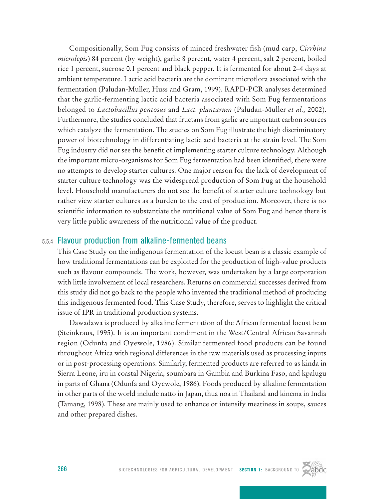Compositionally, Som Fug consists of minced freshwater fish (mud carp, *Cirrhina microlepis*) 84 percent (by weight), garlic 8 percent, water 4 percent, salt 2 percent, boiled rice 1 percent, sucrose 0.1 percent and black pepper. It is fermented for about 2–4 days at ambient temperature. Lactic acid bacteria are the dominant microflora associated with the fermentation (Paludan-Muller, Huss and Gram, 1999). RAPD-PCR analyses determined that the garlic-fermenting lactic acid bacteria associated with Som Fug fermentations belonged to *Lactobacillus pentosus* and *Lact. plantarum* (Paludan-Muller *et al.,* 2002). Furthermore, the studies concluded that fructans from garlic are important carbon sources which catalyze the fermentation. The studies on Som Fug illustrate the high discriminatory power of biotechnology in differentiating lactic acid bacteria at the strain level. The Som Fug industry did not see the benefit of implementing starter culture technology. Although the important micro-organisms for Som Fug fermentation had been identified, there were no attempts to develop starter cultures. One major reason for the lack of development of starter culture technology was the widespread production of Som Fug at the household level. Household manufacturers do not see the benefit of starter culture technology but rather view starter cultures as a burden to the cost of production. Moreover, there is no scientific information to substantiate the nutritional value of Som Fug and hence there is very little public awareness of the nutritional value of the product.

# 5.5.4 Flavour production from alkaline-fermented beans

This Case Study on the indigenous fermentation of the locust bean is a classic example of how traditional fermentations can be exploited for the production of high-value products such as flavour compounds. The work, however, was undertaken by a large corporation with little involvement of local researchers. Returns on commercial successes derived from this study did not go back to the people who invented the traditional method of producing this indigenous fermented food. This Case Study, therefore, serves to highlight the critical issue of IPR in traditional production systems.

Dawadawa is produced by alkaline fermentation of the African fermented locust bean (Steinkraus, 1995). It is an important condiment in the West/Central African Savannah region (Odunfa and Oyewole, 1986). Similar fermented food products can be found throughout Africa with regional differences in the raw materials used as processing inputs or in post-processing operations. Similarly, fermented products are referred to as kinda in Sierra Leone, iru in coastal Nigeria, soumbara in Gambia and Burkina Faso, and kpalugu in parts of Ghana (Odunfa and Oyewole, 1986). Foods produced by alkaline fermentation in other parts of the world include natto in Japan, thua noa in Thailand and kinema in India (Tamang, 1998). These are mainly used to enhance or intensify meatiness in soups, sauces and other prepared dishes.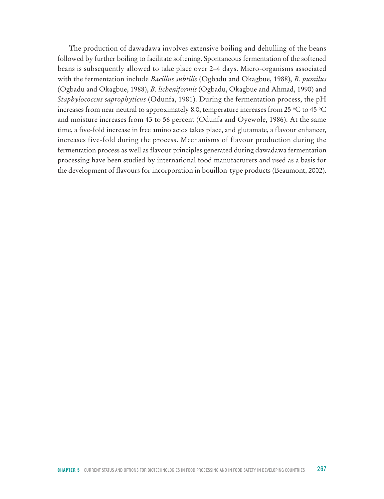The production of dawadawa involves extensive boiling and dehulling of the beans followed by further boiling to facilitate softening. Spontaneous fermentation of the softened beans is subsequently allowed to take place over 2–4 days. Micro-organisms associated with the fermentation include *Bacillus subtilis* (Ogbadu and Okagbue, 1988), *B. pumilus* (Ogbadu and Okagbue, 1988), *B. licheniformis* (Ogbadu, Okagbue and Ahmad, 1990) and *Staphylococcus saprophyticus* (Odunfa, 1981). During the fermentation process, the pH increases from near neutral to approximately 8.0, temperature increases from 25 °C to 45 °C and moisture increases from 43 to 56 percent (Odunfa and Oyewole, 1986). At the same time, a five-fold increase in free amino acids takes place, and glutamate, a flavour enhancer, increases five-fold during the process. Mechanisms of flavour production during the fermentation process as well as flavour principles generated during dawadawa fermentation processing have been studied by international food manufacturers and used as a basis for the development of flavours for incorporation in bouillon-type products (Beaumont, 2002).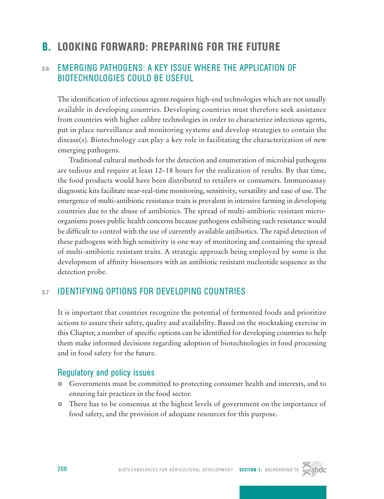# B. Looking Forward: Preparing for the Future

# 5.6 Emerging Pathogens: A Key Issue where the Application of Biotechnologies Could be Useful

The identification of infectious agents requires high-end technologies which are not usually available in developing countries. Developing countries must therefore seek assistance from countries with higher calibre technologies in order to characterize infectious agents, put in place surveillance and monitoring systems and develop strategies to contain the disease(s). Biotechnology can play a key role in facilitating the characterization of new emerging pathogens.

Traditional cultural methods for the detection and enumeration of microbial pathogens are tedious and require at least 12–18 hours for the realization of results. By that time, the food products would have been distributed to retailers or consumers. Immunoassay diagnostic kits facilitate near-real-time monitoring, sensitivity, versatility and ease of use. The emergence of multi-antibiotic resistance traits is prevalent in intensive farming in developing countries due to the abuse of antibiotics. The spread of multi-antibiotic resistant microorganisms poses public health concerns because pathogens exhibiting such resistance would be difficult to control with the use of currently available antibiotics. The rapid detection of these pathogens with high sensitivity is one way of monitoring and containing the spread of multi-antibiotic resistant traits. A strategic approach being employed by some is the development of affinity biosensors with an antibiotic resistant nucleotide sequence as the detection probe.

# 5.7 Identifying Options for Developing Countries

It is important that countries recognize the potential of fermented foods and prioritize actions to assure their safety, quality and availability. Based on the stocktaking exercise in this Chapter, a number of specific options can be identified for developing countries to help them make informed decisions regarding adoption of biotechnologies in food processing and in food safety for the future.

# Regulatory and policy issues

- } Governments must be committed to protecting consumer health and interests, and to ensuring fair practices in the food sector.
- There has to be consensus at the highest levels of government on the importance of food safety, and the provision of adequate resources for this purpose.

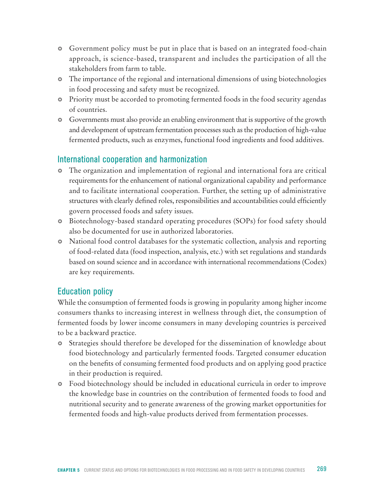- Government policy must be put in place that is based on an integrated food-chain approach, is science-based, transparent and includes the participation of all the stakeholders from farm to table.
- The importance of the regional and international dimensions of using biotechnologies in food processing and safety must be recognized.
- Priority must be accorded to promoting fermented foods in the food security agendas of countries.
- Governments must also provide an enabling environment that is supportive of the growth and development of upstream fermentation processes such as the production of high-value fermented products, such as enzymes, functional food ingredients and food additives.

# International cooperation and harmonization

- **•** The organization and implementation of regional and international fora are critical requirements for the enhancement of national organizational capability and performance and to facilitate international cooperation. Further, the setting up of administrative structures with clearly defined roles, responsibilities and accountabilities could efficiently govern processed foods and safety issues.
- } Biotechnology-based standard operating procedures (SOPs) for food safety should also be documented for use in authorized laboratories.
- National food control databases for the systematic collection, analysis and reporting of food-related data (food inspection, analysis, etc.) with set regulations and standards based on sound science and in accordance with international recommendations (Codex) are key requirements.

# Education policy

While the consumption of fermented foods is growing in popularity among higher income consumers thanks to increasing interest in wellness through diet, the consumption of fermented foods by lower income consumers in many developing countries is perceived to be a backward practice.

- Strategies should therefore be developed for the dissemination of knowledge about food biotechnology and particularly fermented foods. Targeted consumer education on the benefits of consuming fermented food products and on applying good practice in their production is required.
- Food biotechnology should be included in educational curricula in order to improve the knowledge base in countries on the contribution of fermented foods to food and nutritional security and to generate awareness of the growing market opportunities for fermented foods and high-value products derived from fermentation processes.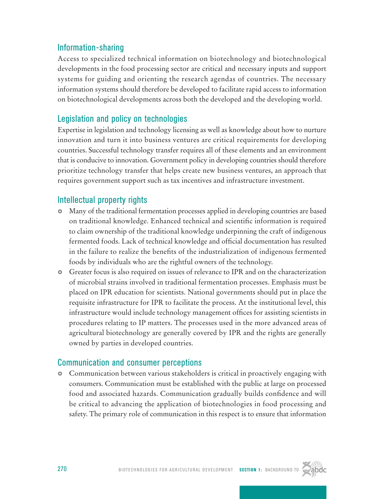# Information-sharing

Access to specialized technical information on biotechnology and biotechnological developments in the food processing sector are critical and necessary inputs and support systems for guiding and orienting the research agendas of countries. The necessary information systems should therefore be developed to facilitate rapid access to information on biotechnological developments across both the developed and the developing world.

# Legislation and policy on technologies

Expertise in legislation and technology licensing as well as knowledge about how to nurture innovation and turn it into business ventures are critical requirements for developing countries. Successful technology transfer requires all of these elements and an environment that is conducive to innovation. Government policy in developing countries should therefore prioritize technology transfer that helps create new business ventures, an approach that requires government support such as tax incentives and infrastructure investment.

# Intellectual property rights

- } Many of the traditional fermentation processes applied in developing countries are based on traditional knowledge. Enhanced technical and scientific information is required to claim ownership of the traditional knowledge underpinning the craft of indigenous fermented foods. Lack of technical knowledge and official documentation has resulted in the failure to realize the benefits of the industrialization of indigenous fermented foods by individuals who are the rightful owners of the technology.
- Greater focus is also required on issues of relevance to IPR and on the characterization of microbial strains involved in traditional fermentation processes. Emphasis must be placed on IPR education for scientists. National governments should put in place the requisite infrastructure for IPR to facilitate the process. At the institutional level, this infrastructure would include technology management offices for assisting scientists in procedures relating to IP matters. The processes used in the more advanced areas of agricultural biotechnology are generally covered by IPR and the rights are generally owned by parties in developed countries.

# Communication and consumer perceptions

**•** Communication between various stakeholders is critical in proactively engaging with consumers. Communication must be established with the public at large on processed food and associated hazards. Communication gradually builds confidence and will be critical to advancing the application of biotechnologies in food processing and safety. The primary role of communication in this respect is to ensure that information

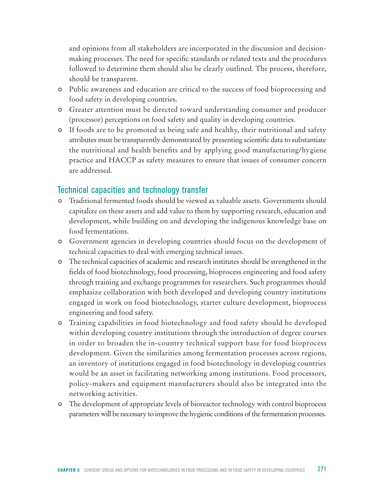and opinions from all stakeholders are incorporated in the discussion and decisionmaking processes. The need for specific standards or related texts and the procedures followed to determine them should also be clearly outlined. The process, therefore, should be transparent.

- Public awareness and education are critical to the success of food bioprocessing and food safety in developing countries.
- Greater attention must be directed toward understanding consumer and producer (processor) perceptions on food safety and quality in developing countries.
- If foods are to be promoted as being safe and healthy, their nutritional and safety attributes must be transparently demonstrated by presenting scientific data to substantiate the nutritional and health benefits and by applying good manufacturing/hygiene practice and HACCP as safety measures to ensure that issues of consumer concern are addressed.

# Technical capacities and technology transfer

- } Traditional fermented foods should be viewed as valuable assets. Governments should capitalize on these assets and add value to them by supporting research, education and development, while building on and developing the indigenous knowledge base on food fermentations.
- Government agencies in developing countries should focus on the development of technical capacities to deal with emerging technical issues.
- The technical capacities of academic and research institutes should be strengthened in the fields of food biotechnology, food processing, bioprocess engineering and food safety through training and exchange programmes for researchers. Such programmes should emphasize collaboration with both developed and developing country institutions engaged in work on food biotechnology, starter culture development, bioprocess engineering and food safety.
- Training capabilities in food biotechnology and food safety should be developed within developing country institutions through the introduction of degree courses in order to broaden the in-country technical support base for food bioprocess development. Given the similarities among fermentation processes across regions, an inventory of institutions engaged in food biotechnology in developing countries would be an asset in facilitating networking among institutions. Food processors, policy-makers and equipment manufacturers should also be integrated into the networking activities.
- The development of appropriate levels of bioreactor technology with control bioprocess parameters will be necessary to improve the hygienic conditions of the fermentation processes.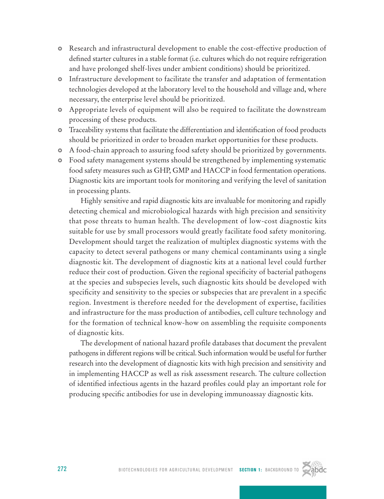- Research and infrastructural development to enable the cost-effective production of defined starter cultures in a stable format (i.e. cultures which do not require refrigeration and have prolonged shelf-lives under ambient conditions) should be prioritized.
- **•** Infrastructure development to facilitate the transfer and adaptation of fermentation technologies developed at the laboratory level to the household and village and, where necessary, the enterprise level should be prioritized.
- Appropriate levels of equipment will also be required to facilitate the downstream processing of these products.
- Traceability systems that facilitate the differentiation and identification of food products should be prioritized in order to broaden market opportunities for these products.
- A food-chain approach to assuring food safety should be prioritized by governments.
- Food safety management systems should be strengthened by implementing systematic food safety measures such as GHP, GMP and HACCP in food fermentation operations. Diagnostic kits are important tools for monitoring and verifying the level of sanitation in processing plants.

Highly sensitive and rapid diagnostic kits are invaluable for monitoring and rapidly detecting chemical and microbiological hazards with high precision and sensitivity that pose threats to human health. The development of low-cost diagnostic kits suitable for use by small processors would greatly facilitate food safety monitoring. Development should target the realization of multiplex diagnostic systems with the capacity to detect several pathogens or many chemical contaminants using a single diagnostic kit. The development of diagnostic kits at a national level could further reduce their cost of production. Given the regional specificity of bacterial pathogens at the species and subspecies levels, such diagnostic kits should be developed with specificity and sensitivity to the species or subspecies that are prevalent in a specific region. Investment is therefore needed for the development of expertise, facilities and infrastructure for the mass production of antibodies, cell culture technology and for the formation of technical know-how on assembling the requisite components of diagnostic kits.

The development of national hazard profile databases that document the prevalent pathogens in different regions will be critical. Such information would be useful for further research into the development of diagnostic kits with high precision and sensitivity and in implementing HACCP as well as risk assessment research. The culture collection of identified infectious agents in the hazard profiles could play an important role for producing specific antibodies for use in developing immunoassay diagnostic kits.

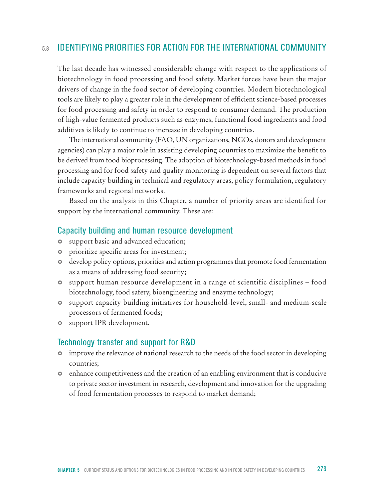# 5.8 Identifying Priorities for Action for the International Community

The last decade has witnessed considerable change with respect to the applications of biotechnology in food processing and food safety. Market forces have been the major drivers of change in the food sector of developing countries. Modern biotechnological tools are likely to play a greater role in the development of efficient science-based processes for food processing and safety in order to respond to consumer demand. The production of high-value fermented products such as enzymes, functional food ingredients and food additives is likely to continue to increase in developing countries.

The international community (FAO, UN organizations, NGOs, donors and development agencies) can play a major role in assisting developing countries to maximize the benefit to be derived from food bioprocessing. The adoption of biotechnology-based methods in food processing and for food safety and quality monitoring is dependent on several factors that include capacity building in technical and regulatory areas, policy formulation, regulatory frameworks and regional networks.

Based on the analysis in this Chapter, a number of priority areas are identified for support by the international community. These are:

# Capacity building and human resource development

- $\circ$  support basic and advanced education;
- $\bullet$  prioritize specific areas for investment;
- develop policy options, priorities and action programmes that promote food fermentation as a means of addressing food security;
- } support human resource development in a range of scientific disciplines food biotechnology, food safety, bioengineering and enzyme technology;
- } support capacity building initiatives for household-level, small- and medium-scale processors of fermented foods;
- $\bullet$  support IPR development.

# Technology transfer and support for R&D

- improve the relevance of national research to the needs of the food sector in developing countries;
- enhance competitiveness and the creation of an enabling environment that is conducive to private sector investment in research, development and innovation for the upgrading of food fermentation processes to respond to market demand;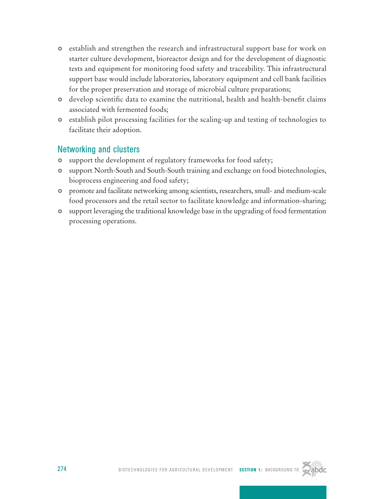- establish and strengthen the research and infrastructural support base for work on starter culture development, bioreactor design and for the development of diagnostic tests and equipment for monitoring food safety and traceability. This infrastructural support base would include laboratories, laboratory equipment and cell bank facilities for the proper preservation and storage of microbial culture preparations;
- develop scientific data to examine the nutritional, health and health-benefit claims associated with fermented foods;
- establish pilot processing facilities for the scaling-up and testing of technologies to facilitate their adoption.

# Networking and clusters

- support the development of regulatory frameworks for food safety;
- support North-South and South-South training and exchange on food biotechnologies, bioprocess engineering and food safety;
- promote and facilitate networking among scientists, researchers, small- and medium-scale food processors and the retail sector to facilitate knowledge and information-sharing;
- support leveraging the traditional knowledge base in the upgrading of food fermentation processing operations.

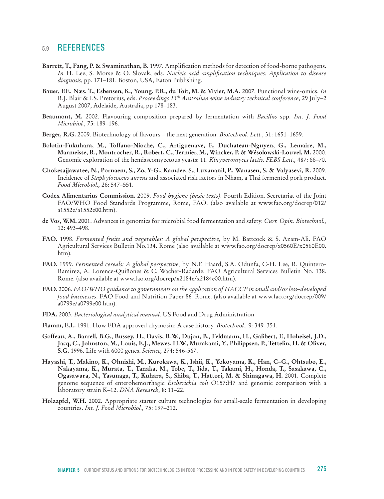# 5.9 References

- **Barrett, T., Fang, P. & Swaminathan, B.** 1997. Amplification methods for detection of food-borne pathogens. *In* H. Lee, S. Morse & O. Slovak, eds. *Nucleic acid amplification techniques: Application to disease diagnosis*, pp. 171–181. Boston, USA, Eaton Publishing.
- **Bauer, F.F., Næs, T., Esbensen, K., Young, P.R., du Toit, M. & Vivier, M.A.** 2007. Functional wine-omics. *In* R.J. Blair & I.S. Pretorius, eds. *Proceedings 13th Australian wine industry technical conference*, 29 July–2 August 2007, Adelaide, Australia, pp 178–183.
- **Beaumont, M.** 2002. Flavouring composition prepared by fermentation with *Bacillus* spp. *Int. J. Food Microbiol.,* 75: 189–196.
- **Berger, R.G.** 2009. Biotechnology of flavours the next generation. *Biotechnol. Lett.,* 31: 1651–1659.
- **Bolotin-Fukuhara, M., Toffano-Nioche, C., Artiguenave, F., Duchateau-Nguyen, G., Lemaire, M., Marmeisse, R., Montrocher, R., Robert, C., Termier, M., Wincker, P. & Wésolowski-Louvel, M.** 2000. Genomic exploration of the hemiascomycetous yeasts: 11. *Kluyveromyces lactis*. *FEBS Lett.,* 487: 66–70.
- **Chokesajjawatee, N., Pornaem, S., Zo, Y-G., Kamdee, S., Luxananil, P., Wanasen, S. & Valyasevi, R.** 2009. Incidence of *Staphylococcus aureus* and associated risk factors in Nham, a Thai fermented pork product. *Food Microbiol.,* 26: 547–551.
- **Codex Alimentarius Commission.** 2009. *Food hygiene (basic texts)*. Fourth Edition. Secretariat of the Joint FAO/WHO Food Standards Programme, Rome, FAO. (also available at www.fao.org/docrep/012/ a1552e/a1552e00.htm).
- **de Vos, W.M.** 2001. Advances in genomics for microbial food fermentation and safety. *Curr. Opin. Biotechnol.,* 12: 493–498.
- **FAO.** 1998. *Fermented fruits and vegetables: A global perspective,* by M. Battcock & S. Azam-Ali. FAO Agricultural Services Bulletin No.134. Rome (also available at www.fao.org/docrep/x0560E/x0560E00. htm).
- **FAO.** 1999. *Fermented cereals: A global perspective,* by N.F. Haard, S.A. Odunfa, C-H. Lee, R. Quintero-Ramirez, A. Lorence-Quiñones & C. Wacher-Radarde. FAO Agricultural Services Bulletin No. 138. Rome. (also available at www.fao.org/docrep/x2184e/x2184e00.htm).
- **FAO.** 2006. *FAO/WHO guidance to governments on the application of HACCP in small and/or less–developed food businesses*. FAO Food and Nutrition Paper 86*.* Rome. (also available at www.fao.org/docrep/009/ a0799e/a0799e00.htm).
- **FDA.** 2003. *Bacteriological analytical manual*. US Food and Drug Administration.
- **Flamm, E.L.** 1991. How FDA approved chymosin: A case history. *Biotechnol.,* 9: 349–351.
- **Goffeau, A., Barrell, B.G., Bussey, H., Davis, R.W., Dujon, B., Feldmann, H., Galibert, F., Hoheisel, J.D., Jacq, C., Johnston, M., Louis, E.J., Mewes, H.W., Murakami, Y., Philippsen, P., Tettelin, H. & Oliver, S.G.** 1996. Life with 6000 genes. *Science,* 274: 546-567.
- **Hayashi, T., Makino, K., Ohnishi, M., Kurokawa, K., Ishii, K., Yokoyama, K., Han, C–G., Ohtsubo, E., Nakayama, K., Murata, T., Tanaka, M., Tobe, T., Iida, T., Takami, H., Honda, T., Sasakawa, C., Ogasawara, N., Yasunaga, T., Kuhara, S., Shiba, T., Hattori, M. & Shinagawa, H.** 2001. Complete genome sequence of enterohemorrhagic *Escherichia coli* O157:H7 and genomic comparison with a laboratory strain K–12. *DNA Research,* 8: 11–22.
- **Holzapfel, W.H.** 2002. Appropriate starter culture technologies for small-scale fermentation in developing countries. *Int. J. Food Microbiol.,* 75: 197–212.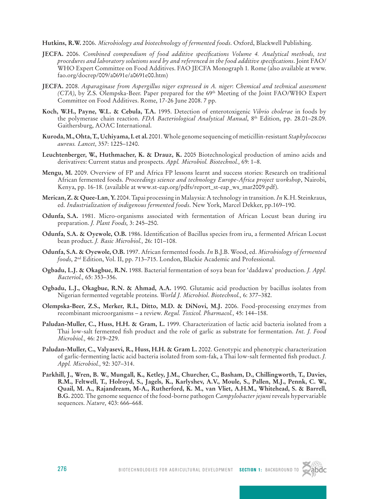**Hutkins, R.W.** 2006. *Microbiology and biotechnology of fermented foods*. Oxford, Blackwell Publishing.

- **JECFA.** 2006. *Combined compendium of food additive specifications Volume 4. Analytical methods, test procedures and laboratory solutions used by and referenced in the food additive specifications*. Joint FAO/ WHO Expert Committee on Food Additives. FAO JECFA Monograph 1*.* Rome (also available at www. fao.org/docrep/009/a0691e/a0691e00.htm)
- **JECFA.** 2008. *Asparaginase from Aspergillus niger expressed in A. niger*: *Chemical and technical assessment (CTA)*, by Z.S. Olempska-Beer. Paper prepared for the 69<sup>th</sup> Meeting of the Joint FAO/WHO Expert Committee on Food Additives. Rome, 17-26 June 2008. 7 pp.
- **Koch, W.H., Payne, W.L. & Cebula, T.A.** 1995. Detection of enterotoxigenic *Vibrio cholerae* in foods by the polymerase chain reaction. *FDA Bacteriological Analytical Manual*, 8<sup>th</sup> Edition, pp. 28.01–28.09. Gaithersburg, AOAC International.
- **Kuroda, M., Ohta, T., Uchiyama, I. et al.** 2001. Whole genome sequencing of meticillin-resistant *Staphylococcus aureus. Lancet,* 357: 1225–1240.
- **Leuchtenberger, W., Huthmacher, K. & Drauz, K.** 2005 Biotechnological production of amino acids and derivatives: Current status and prospects. *Appl. Microbiol. Biotechnol.,* 69: 1–8.
- **Mengu, M.** 2009. Overview of FP and Africa FP lessons learnt and success stories: Research on traditional African fermented foods. *Proceedings science and technology Europe-Africa project workshop*, Nairobi, Kenya, pp. 16-18. (available at www.st-eap.org/pdfs/report\_st-eap\_ws\_mar2009.pdf).
- **Merican, Z. & Quee-Lan**, **Y.** 2004. Tapai processing in Malaysia: A technology in transition. *In* K.H. Steinkraus, ed. *Industrialization of indigenous fermented foods*. New York, Marcel Dekker, pp.169–190.
- **Odunfa, S.A.** 1981. Micro-organisms associated with fermentation of African Locust bean during iru preparation. *J. Plant Foods,* 3: 245–250.
- **Odunfa, S.A. & Oyewole, O.B.** 1986. Identification of Bacillus species from iru, a fermented African Locust bean product. *J. Basic Microbiol.,* 26: 101–108.
- **Odunfa, S.A. & Oyewole, O.B.** 1997. African fermented foods. *In* B.J.B. Wood, ed. *Microbiology of fermented foods*, 2nd Edition, Vol. II, pp. 713–715. London, Blackie Academic and Professional.
- **Ogbadu, L.J. & Okagbue, R.N.** 1988. Bacterial fermentation of soya bean for 'daddawa' production. *J. Appl. Bacteriol.,* 65: 353–356.
- **Ogbadu, L.J., Okagbue, R.N. & Ahmad, A.A.** 1990. Glutamic acid production by bacillus isolates from Nigerian fermented vegetable proteins. *World J. Microbiol*. *Biotechnol.,* 6: 377–382.
- **Olempska-Beer, Z.S., Merker, R.I., Ditto, M.D. & DiNovi, M.J.** 2006. Food-processing enzymes from recombinant microorganisms – a review. *Regul. Toxicol. Pharmacol.,* 45: 144–158.
- **Paludan-Muller, C., Huss, H.H. & Gram, L.** 1999. Characterization of lactic acid bacteria isolated from a Thai low-salt fermented fish product and the role of garlic as substrate for fermentation. *Int. J. Food Microbiol.,* 46: 219–229.
- **Paludan-Muller, C., Valyasevi, R., Huss, H.H. & Gram L.** 2002. Genotypic and phenotypic characterization of garlic-fermenting lactic acid bacteria isolated from som-fak, a Thai low-salt fermented fish product. *J. Appl. Microbiol.,* 92: 307–314.
- **Parkhill, J., Wren, B. W., Mungall, K., Ketley, J.M., Churcher, C., Basham, D., Chillingworth, T., Davies, R.M., Feltwell, T., Holroyd, S., Jagels, K., Karlyshev, A.V., Moule, S., Pallen, M.J., Pennk, C. W., Quail, M. A., Rajandream, M-A., Rutherford, K. M., van Vliet, A.H.M., Whitehead, S. & Barrell, B.G.** 2000. The genome sequence of the food-borne pathogen *Campylobacter jejuni* reveals hypervariable sequences. *Nature,* 403: 666–668.